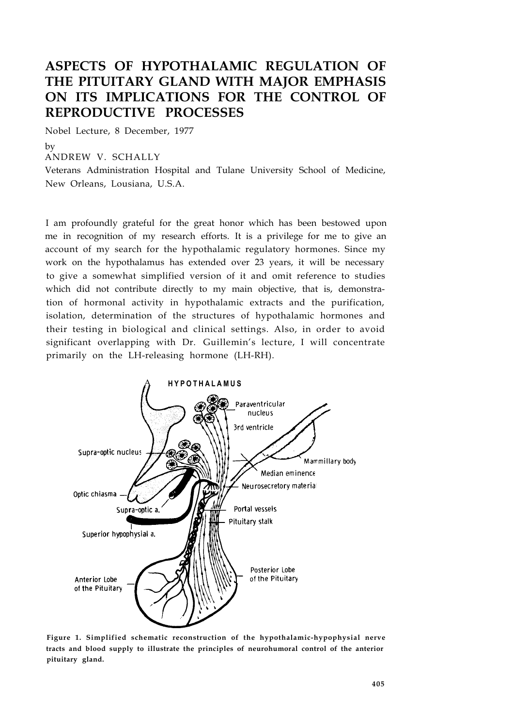# **ASPECTS OF HYPOTHALAMIC REGULATION OF THE PITUITARY GLAND WITH MAJOR EMPHASIS ON ITS IMPLICATIONS FOR THE CONTROL OF REPRODUCTIVE PROCESSES**

Nobel Lecture, 8 December, 1977

by

ANDREW V. SCHALLY

Veterans Administration Hospital and Tulane University School of Medicine, New Orleans, Lousiana, U.S.A.

I am profoundly grateful for the great honor which has been bestowed upon me in recognition of my research efforts. It is a privilege for me to give an account of my search for the hypothalamic regulatory hormones. Since my work on the hypothalamus has extended over 23 years, it will be necessary to give a somewhat simplified version of it and omit reference to studies which did not contribute directly to my main objective, that is, demonstration of hormonal activity in hypothalamic extracts and the purification, isolation, determination of the structures of hypothalamic hormones and their testing in biological and clinical settings. Also, in order to avoid significant overlapping with Dr. Guillemin's lecture, I will concentrate primarily on the LH-releasing hormone (LH-RH).



**Figure 1. Simplified schematic reconstruction of the hypothalamic-hypophysial nerve tracts and blood supply to illustrate the principles of neurohumoral control of the anterior pituitary gland.**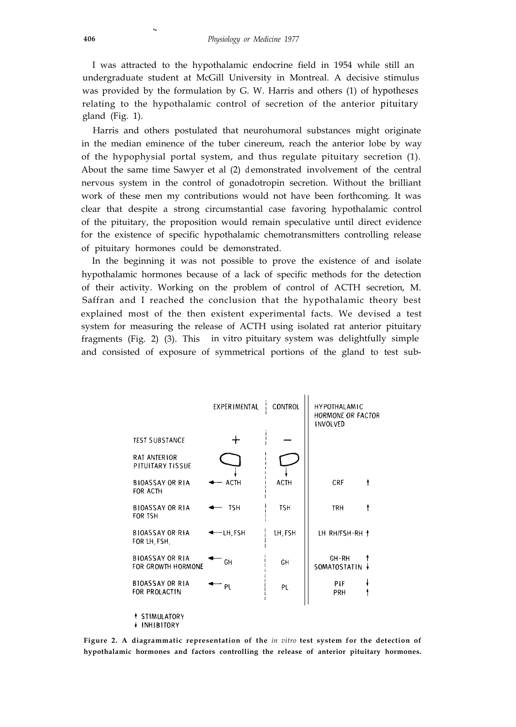I was attracted to the hypothalamic endocrine field in 1954 while still an undergraduate student at McGill University in Montreal. A decisive stimulus was provided by the formulation by G. W. Harris and others (1) of hypotheses relating to the hypothalamic control of secretion of the anterior pituitary gland (Fig. 1).

Harris and others postulated that neurohumoral substances might originate in the median eminence of the tuber cinereum, reach the anterior lobe by way of the hypophysial portal system, and thus regulate pituitary secretion (1). About the same time Sawyer et al (2) demonstrated involvement of the central nervous system in the control of gonadotropin secretion. Without the brilliant work of these men my contributions would not have been forthcoming. It was clear that despite a strong circumstantial case favoring hypothalamic control of the pituitary, the proposition would remain speculative until direct evidence for the existence of specific hypothalamic chemotransmitters controlling release of pituitary hormones could be demonstrated.

In the beginning it was not possible to prove the existence of and isolate hypothalamic hormones because of a lack of specific methods for the detection of their activity. Working on the problem of control of ACTH secretion, M. Saffran and I reached the conclusion that the hypothalamic theory best explained most of the then existent experimental facts. We devised a test system for measuring the release of ACTH using isolated rat anterior pituitary fragments (Fig. 2) (3). This in vitro pituitary system was delightfully simple and consisted of exposure of symmetrical portions of the gland to test sub-

|                                              | <b>EXPERIMENTAL</b> | <b>CONTROL</b> | <b>HYPOTHALAMIC</b><br>HORMONE OR FACTOR<br>INVOLVED |  |
|----------------------------------------------|---------------------|----------------|------------------------------------------------------|--|
| <b>TEST SUBSTANCE</b>                        |                     |                |                                                      |  |
| <b>RAT ANTERIOR</b><br>PITUITARY TISSUE      |                     |                |                                                      |  |
| <b>BIOASSAY OR RIA</b><br>FOR ACTH           | — АСТН              | <b>ACTH</b>    | CRF                                                  |  |
| <b>BIOASSAY OR RIA</b><br>FOR TSH            | <b>TSH</b>          | <b>TSH</b>     | <b>TRH</b>                                           |  |
| <b>BIOASSAY OR RIA</b><br>FOR LH, FSH,       | – LH, FSH           | LH, FSH        | LH RH/FSH-RH t                                       |  |
| <b>BIOASSAY OR RIA</b><br>FOR GROWTH HORMONE | GН                  | GH             | GH-RH<br>SOMATOSTATIN                                |  |
| <b>BIOASSAY OR RIA</b><br>FOR PROLACTIN      | PL                  | PL             | PIF<br><b>PRH</b>                                    |  |
| <b>f STIMULATORY</b>                         |                     |                |                                                      |  |

+ INHIBITORY

**Figure 2. A diagrammatic representation of the** *in vitro* **test system for the detection of hypothalamic hormones and factors controlling the release of anterior pituitary hormones.**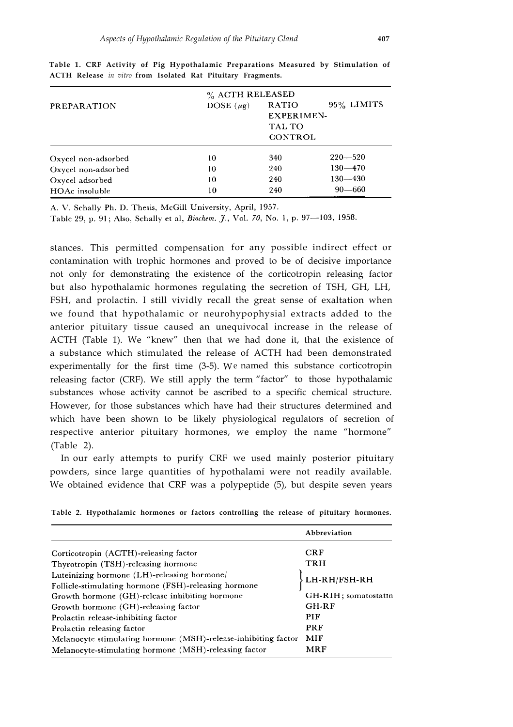|                     | % ACTH RELEASED |                                                        |             |  |
|---------------------|-----------------|--------------------------------------------------------|-------------|--|
| <b>PREPARATION</b>  | $DOSE(\mu g)$   | <b>RATIO</b><br>EXPERIMEN-<br>TAL TO<br><b>CONTROL</b> | 95% LIMITS  |  |
| Oxycel non-adsorbed | 10              | 340                                                    | $220 - 520$ |  |
| Oxycel non-adsorbed | 10              | 240                                                    | $130 - 470$ |  |
| Oxycel adsorbed     | 10              | 240                                                    | $130 - 430$ |  |
| HOAc insoluble      | 10              | 240                                                    | $90 - 660$  |  |

**Table 1. CRF Activity of Pig Hypothalamic Preparations Measured by Stimulation of ACTH Release** *in vitro* **from Isolated Rat Pituitary Fragments.**

A. V. Schally Ph. D. Thesis, McGill University, April, 1957.

Table 29, p. 91; Also, Schally et al, Biochem. J., Vol. 70, No. 1, p. 97-103, 1958.

stances. This permitted compensation for any possible indirect effect or contamination with trophic hormones and proved to be of decisive importance not only for demonstrating the existence of the corticotropin releasing factor but also hypothalamic hormones regulating the secretion of TSH, GH, LH, FSH, and prolactin. I still vividly recall the great sense of exaltation when we found that hypothalamic or neurohypophysial extracts added to the anterior pituitary tissue caused an unequivocal increase in the release of ACTH (Table 1). We "knew" then that we had done it, that the existence of a substance which stimulated the release of ACTH had been demonstrated experimentally for the first time (3-5). We named this substance corticotropin releasing factor (CRF). We still apply the term "factor" to those hypothalamic substances whose activity cannot be ascribed to a specific chemical structure. However, for those substances which have had their structures determined and which have been shown to be likely physiological regulators of secretion of respective anterior pituitary hormones, we employ the name "hormone" (Table 2).

In our early attempts to purify CRF we used mainly posterior pituitary powders, since large quantities of hypothalami were not readily available. We obtained evidence that CRF was a polypeptide (5), but despite seven years

|                                                                                                     | Abbreviation         |
|-----------------------------------------------------------------------------------------------------|----------------------|
| Corticotropin (ACTH)-releasing factor                                                               | <b>CRF</b>           |
| Thyrotropin (TSH)-releasing hormone                                                                 | TRH                  |
| Luteinizing hormone (LH)-releasing hormone/<br>Follicle-stimulating hormone (FSH)-releasing hormone | LH-RH/FSH-RH         |
| Growth hormone (GH)-release inhibiting hormone                                                      | GH-RIH; somatostatin |
| Growth hormone (GH)-releasing factor                                                                | GH-RF                |
| Prolactin release-inhibiting factor                                                                 | PIF                  |
| Prolactin releasing factor                                                                          | PRF                  |
| Melanocyte stimulating hormone (MSH)-release-inhibiting factor                                      | MIF                  |
| Melanocyte-stimulating hormone (MSH)-releasing factor                                               | <b>MRF</b>           |

**Table 2. Hypothalamic hormones or factors controlling the release of pituitary hormones.**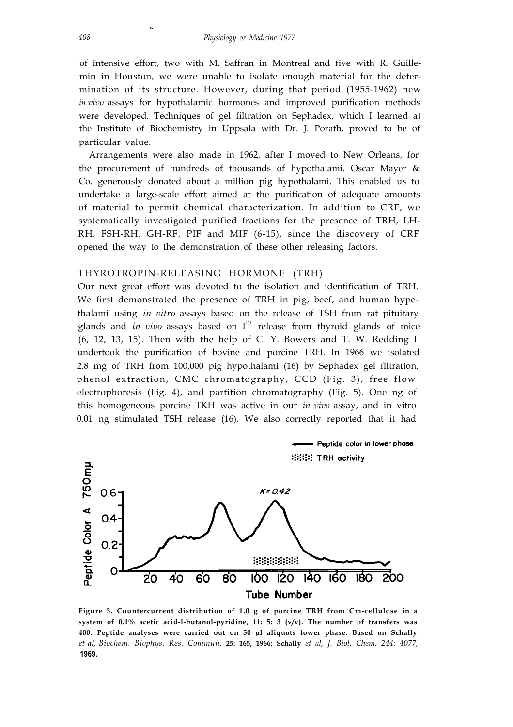of intensive effort, two with M. Saffran in Montreal and five with R. Guillemin in Houston, we were unable to isolate enough material for the determination of its structure. However, during that period (1955-1962) new *in vivo* assays for hypothalamic hormones and improved purification methods were developed. Techniques of gel filtration on Sephadex, which I learned at the Institute of Biochemistry in Uppsala with Dr. J. Porath, proved to be of particular value.

Arrangements were also made in 1962, after I moved to New Orleans, for the procurement of hundreds of thousands of hypothalami. Oscar Mayer & Co. generously donated about a million pig hypothalami. This enabled us to undertake a large-scale effort aimed at the purification of adequate amounts of material to permit chemical characterization. In addition to CRF, we systematically investigated purified fractions for the presence of TRH, LH-RH, FSH-RH, GH-RF, PIF and MIF (6-15), since the discovery of CRF opened the way to the demonstration of these other releasing factors.

### THYROTROPIN-RELEASING HORMONE (TRH)

Our next great effort was devoted to the isolation and identification of TRH. We first demonstrated the presence of TRH in pig, beef, and human hypethalami using *in vitro* assays based on the release of TSH from rat pituitary glands and *in vivo* assays based on I<sup>131</sup> release from thyroid glands of mice (6, 12, 13, 15). Then with the help of C. Y. Bowers and T. W. Redding I undertook the purification of bovine and porcine TRH. In 1966 we isolated 2.8 mg of TRH from 100,000 pig hypothalami (16) by Sephadex gel filtration, phenol extraction, CMC chromatography, CCD (Fig. 3), free flow electrophoresis (Fig. 4), and partition chromatography (Fig. 5). One ng of this homogeneous porcine TKH was active in our *in vivo* assay, and in vitro 0.01 ng stimulated TSH release (16). We also correctly reported that it had



**Figure 3. Countercurrent distribution of 1.0 g of porcine TRH from Cm-cellulose in a system of 0.1% acetic acid-l-butanol-pyridine, 11: 5: 3 (v/v). The number of transfers was 400. Peptide analyses were carried out on 50 µl aliquots lower phase. Based on Schally** *et al, Biochem. Biophys. Res. Commun.* **25: 165, 1966; Schally** *et al, J. Biol. Chem. 244: 4077,* **1969.**

 $\mathbf{z}_\mathrm{in}$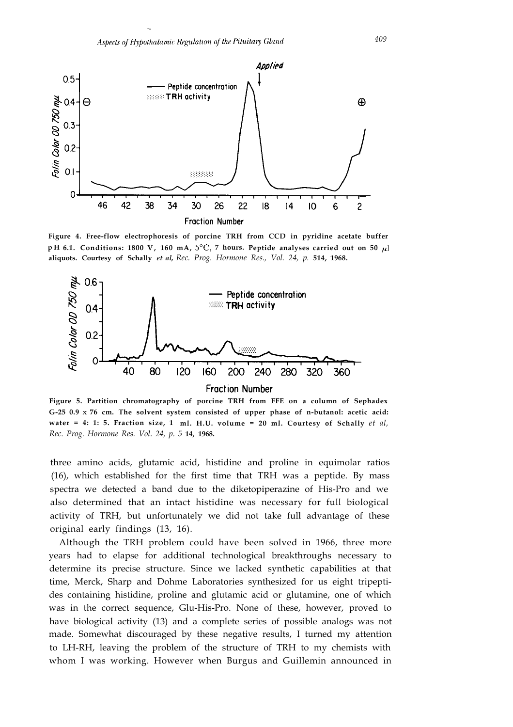

**Figure 4. Free-flow electrophoresis of porcine TRH from CCD in pyridine acetate buffer pH** 6.1. Conditions: 1800 V, 160 mA,  $5^{\circ}$ C, 7 hours. Peptide analyses carried out on 50  $\mu$ l **aliquots. Courtesy of Schally** *et al, Rec. Prog. Hormone Res., Vol. 24, p.* **514, 1968.**



**Figure 5. Partition chromatography of porcine TRH from FFE on a column of Sephadex G-25 0.9** x **76 cm. The solvent system consisted of upper phase of n-butanol: acetic acid: water = 4: 1: 5. Fraction size, 1 ml. H.U. volume = 20 ml. Courtesy of Schally** *et al, Rec. Prog. Hormone Res. Vol. 24, p. 5* **14, 1968.**

three amino acids, glutamic acid, histidine and proline in equimolar ratios (16), which established for the first time that TRH was a peptide. By mass spectra we detected a band due to the diketopiperazine of His-Pro and we also determined that an intact histidine was necessary for full biological activity of TRH, but unfortunately we did not take full advantage of these original early findings (13, 16).

Although the TRH problem could have been solved in 1966, three more years had to elapse for additional technological breakthroughs necessary to determine its precise structure. Since we lacked synthetic capabilities at that time, Merck, Sharp and Dohme Laboratories synthesized for us eight tripeptides containing histidine, proline and glutamic acid or glutamine, one of which was in the correct sequence, Glu-His-Pro. None of these, however, proved to have biological activity (13) and a complete series of possible analogs was not made. Somewhat discouraged by these negative results, I turned my attention to LH-RH, leaving the problem of the structure of TRH to my chemists with whom I was working. However when Burgus and Guillemin announced in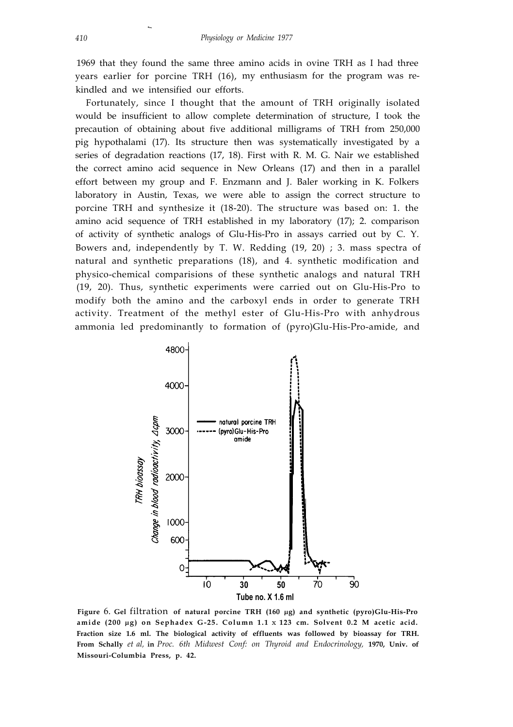1969 that they found the same three amino acids in ovine TRH as I had three years earlier for porcine TRH (16), my enthusiasm for the program was rekindled and we intensified our efforts.

Fortunately, since I thought that the amount of TRH originally isolated would be insufficient to allow complete determination of structure, I took the precaution of obtaining about five additional milligrams of TRH from 250,000 pig hypothalami (17). Its structure then was systematically investigated by a series of degradation reactions (17, 18). First with R. M. G. Nair we established the correct amino acid sequence in New Orleans (17) and then in a parallel effort between my group and F. Enzmann and J. Baler working in K. Folkers laboratory in Austin, Texas, we were able to assign the correct structure to porcine TRH and synthesize it (18-20). The structure was based on: 1. the amino acid sequence of TRH established in my laboratory (17); 2. comparison of activity of synthetic analogs of Glu-His-Pro in assays carried out by C. Y. Bowers and, independently by T. W. Redding (19, 20) ; 3. mass spectra of natural and synthetic preparations (18), and 4. synthetic modification and physico-chemical comparisions of these synthetic analogs and natural TRH (19, 20). Thus, synthetic experiments were carried out on Glu-His-Pro to modify both the amino and the carboxyl ends in order to generate TRH activity. Treatment of the methyl ester of Glu-His-Pro with anhydrous ammonia led predominantly to formation of (pyro)Glu-His-Pro-amide, and



**Figure** 6. **Gel** filtration **of natural porcine TRH (160 µg) and synthetic (pyro)Glu-His-Pro amide (200 µg) on Sephadex G-25. Column 1.1** x **123 cm. Solvent 0.2 M acetic acid. Fraction size 1.6 ml. The biological activity of effluents was followed by bioassay for TRH. From Schally** *et al,* **in** *Proc. 6th Midwest Conf: on Thyroid and Endocrinology,* **1970, Univ. of Missouri-Columbia Press, p. 42.**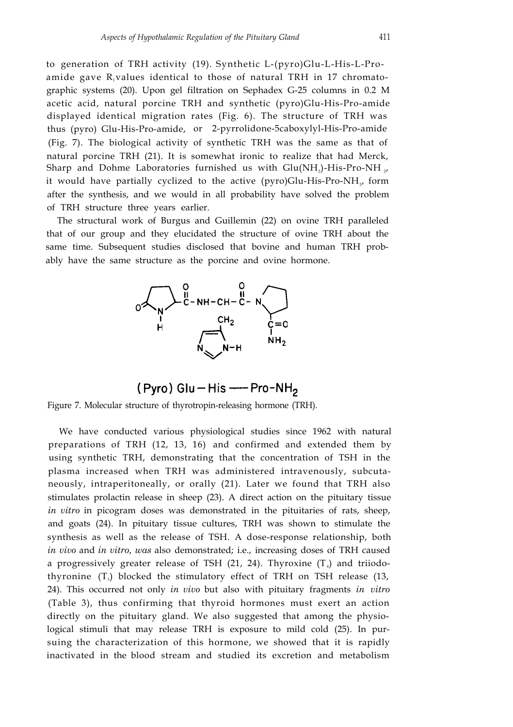to generation of TRH activity (19). Synthetic L-(pyro)Glu-L-His-L-Proamide gave  $R_i$  values identical to those of natural TRH in 17 chromatographic systems (20). Upon gel filtration on Sephadex G-25 columns in 0.2 M acetic acid, natural porcine TRH and synthetic (pyro)Glu-His-Pro-amide displayed identical migration rates (Fig. 6). The structure of TRH was thus (pyro) Glu-His-Pro-amide, or 2-pyrrolidone-5caboxylyl-His-Pro-amide (Fig. 7). The biological activity of synthetic TRH was the same as that of natural porcine TRH (21). It is somewhat ironic to realize that had Merck, Sharp and Dohme Laboratories furnished us with  $Glu(NH,)-His-Pro-NH$ , it would have partially cyclized to the active (pyro)Glu-His-Pro-NH<sub>2</sub>, form after the synthesis, and we would in all probability have solved the problem of TRH structure three years earlier.

The structural work of Burgus and Guillemin (22) on ovine TRH paralleled that of our group and they elucidated the structure of ovine TRH about the same time. Subsequent studies disclosed that bovine and human TRH probably have the same structure as the porcine and ovine hormone.



(Pyro) Glu - His - Pro-NH<sub>2</sub>

Figure 7. Molecular structure of thyrotropin-releasing hormone (TRH).

We have conducted various physiological studies since 1962 with natural preparations of TRH (12, 13, 16) and confirmed and extended them by using synthetic TRH, demonstrating that the concentration of TSH in the plasma increased when TRH was administered intravenously, subcutaneously, intraperitoneally, or orally (21). Later we found that TRH also stimulates prolactin release in sheep (23). A direct action on the pituitary tissue *in vitro* in picogram doses was demonstrated in the pituitaries of rats, sheep, and goats (24). In pituitary tissue cultures, TRH was shown to stimulate the synthesis as well as the release of TSH. A dose-response relationship, both *in vivo* and *in vitro, was* also demonstrated; i.e., increasing doses of TRH caused a progressively greater release of TSH (21, 24). Thyroxine  $(T<sub>4</sub>)$  and triiodothyronine  $(T_3)$  blocked the stimulatory effect of TRH on TSH release (13, 24). This occurred not only *in vivo* but also with pituitary fragments *in vitro* (Table 3), thus confirming that thyroid hormones must exert an action directly on the pituitary gland. We also suggested that among the physiological stimuli that may release TRH is exposure to mild cold (25). In pursuing the characterization of this hormone, we showed that it is rapidly inactivated in the blood stream and studied its excretion and metabolism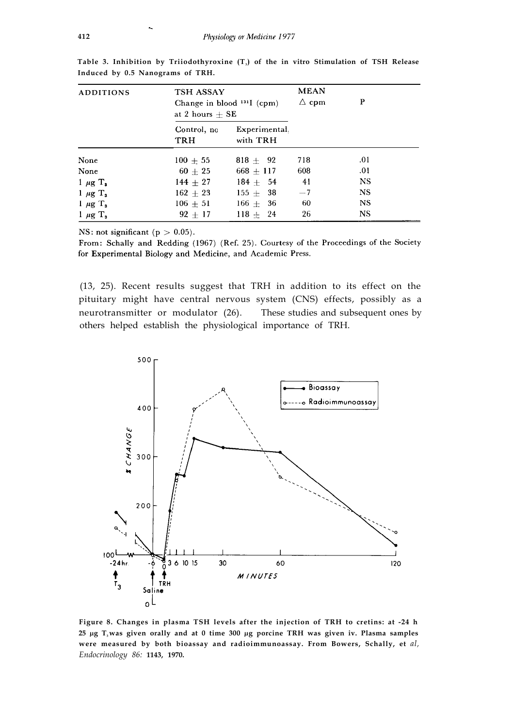| <b>ADDITIONS</b>         | TSH ASSAY<br>Change in blood $^{131}$ (cpm)<br>at 2 hours $+$ SE |                           | <b>MEAN</b><br>$\triangle$ cpm | P         |  |
|--------------------------|------------------------------------------------------------------|---------------------------|--------------------------------|-----------|--|
|                          | Control, no<br>TRH                                               | Experimental,<br>with TRH |                                |           |  |
| None                     | $100 + 55$                                                       | $818 + 92$                | 718                            | .01       |  |
| None                     | $60 + 25$                                                        | $668 + 117$               | 608                            | .01       |  |
| $1 \mu g$ T <sub>s</sub> | $144 + 27$                                                       | $184 + 54$                | 41                             | <b>NS</b> |  |
| $1 \mu g T_3$            | $162 + 23$                                                       | $155 + 38$                | $-7$                           | NS        |  |
| $1 \mu g T_s$            | $106 + 51$                                                       | $166 + 36$                | 60                             | <b>NS</b> |  |
| $1 \mu g T_s$            | $92 + 17$                                                        | $118 + 24$                | 26                             | NS        |  |

**Table 3. Inhibition by Triiodothyroxine (T3) of the in vitro Stimulation of TSH Release Induced by 0.5 Nanograms of TRH.**

NS: not significant ( $p > 0.05$ ).

From: Schally and Redding (1967) (Ref. 25). Courtesy of the Proceedings of the Society for Experimental Biology and Medicine, and Academic Press.

(13, 25). Recent results suggest that TRH in addition to its effect on the pituitary might have central nervous system (CNS) effects, possibly as a neurotransmitter or modulator (26). These studies and subsequent ones by others helped establish the physiological importance of TRH.



**Figure 8. Changes in plasma TSH levels after the injection of TRH to cretins: at -24 h 25 µg T3 was given orally and at 0 time 300 µg porcine TRH was given iv. Plasma samples were measured by both bioassay and radioimmunoassay. From Bowers, Schally, et** *al, Endocrinology 86:* **1143, 1970.**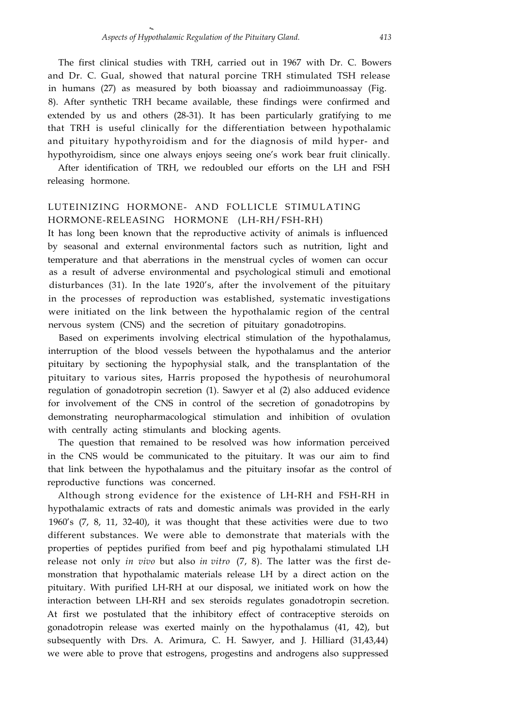The first clinical studies with TRH, carried out in 1967 with Dr. C. Bowers and Dr. C. Gual, showed that natural porcine TRH stimulated TSH release in humans (27) as measured by both bioassay and radioimmunoassay (Fig. 8). After synthetic TRH became available, these findings were confirmed and extended by us and others (28-31). It has been particularly gratifying to me that TRH is useful clinically for the differentiation between hypothalamic and pituitary hypothyroidism and for the diagnosis of mild hyper- and hypothyroidism, since one always enjoys seeing one's work bear fruit clinically.

After identification of TRH, we redoubled our efforts on the LH and FSH releasing hormone.

# LUTEINIZING HORMONE- AND FOLLICLE STIMULATING HORMONE-RELEASING HORMONE (LH-RH/FSH-RH)

It has long been known that the reproductive activity of animals is influenced by seasonal and external environmental factors such as nutrition, light and temperature and that aberrations in the menstrual cycles of women can occur as a result of adverse environmental and psychological stimuli and emotional disturbances (31). In the late 1920's, after the involvement of the pituitary in the processes of reproduction was established, systematic investigations were initiated on the link between the hypothalamic region of the central nervous system (CNS) and the secretion of pituitary gonadotropins.

Based on experiments involving electrical stimulation of the hypothalamus, interruption of the blood vessels between the hypothalamus and the anterior pituitary by sectioning the hypophysial stalk, and the transplantation of the pituitary to various sites, Harris proposed the hypothesis of neurohumoral regulation of gonadotropin secretion (1). Sawyer et al (2) also adduced evidence for involvement of the CNS in control of the secretion of gonadotropins by demonstrating neuropharmacological stimulation and inhibition of ovulation with centrally acting stimulants and blocking agents.

The question that remained to be resolved was how information perceived in the CNS would be communicated to the pituitary. It was our aim to find that link between the hypothalamus and the pituitary insofar as the control of reproductive functions was concerned.

Although strong evidence for the existence of LH-RH and FSH-RH in hypothalamic extracts of rats and domestic animals was provided in the early 1960's (7, 8, 11, 32-40), it was thought that these activities were due to two different substances. We were able to demonstrate that materials with the properties of peptides purified from beef and pig hypothalami stimulated LH release not only *in vivo* but also *in vitro* (7, 8). The latter was the first demonstration that hypothalamic materials release LH by a direct action on the pituitary. With purified LH-RH at our disposal, we initiated work on how the interaction between LH-RH and sex steroids regulates gonadotropin secretion. At first we postulated that the inhibitory effect of contraceptive steroids on gonadotropin release was exerted mainly on the hypothalamus (41, 42), but subsequently with Drs. A. Arimura, C. H. Sawyer, and J. Hilliard (31,43,44) we were able to prove that estrogens, progestins and androgens also suppressed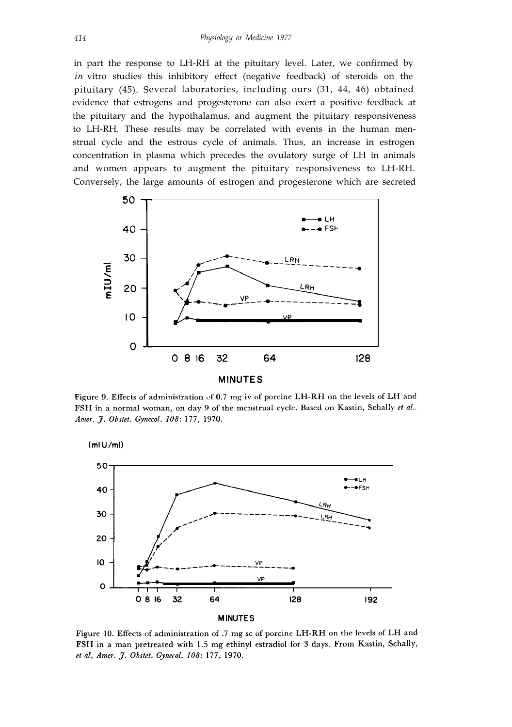in part the response to LH-RH at the pituitary level. Later, we confirmed by *in* vitro studies this inhibitory effect (negative feedback) of steroids on the pituitary (45). Several laboratories, including ours (31, 44, 46) obtained evidence that estrogens and progesterone can also exert a positive feedback at the pituitary and the hypothalamus, and augment the pituitary responsiveness to LH-RH. These results may be correlated with events in the human menstrual cycle and the estrous cycle of animals. Thus, an increase in estrogen concentration in plasma which precedes the ovulatory surge of LH in animals and women appears to augment the pituitary responsiveness to LH-RH. Conversely, the large amounts of estrogen and progesterone which are secreted



Figure 9. Effects of administration of 0.7 mg iv of porcine LH-RH on the levels of LH and FSH in a normal woman, on day 9 of the menstrual cycle. Based on Kastin, Schally et al., Amer. J. Obstet. Gynecol. 108: 177, 1970.



Figure 10. Effects of administration of .7 mg sc of porcine LH-RH on the levels of LH and FSH in a man pretreated with 1.5 mg ethinyl estradiol for 3 days. From Kastin, Schally, et al, Amer. J. Obstet. Gynecol. 108: 177, 1970.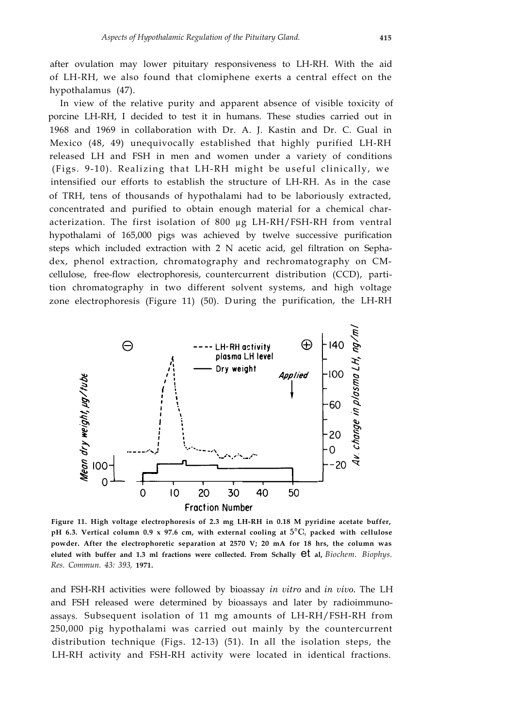after ovulation may lower pituitary responsiveness to LH-RH. With the aid of LH-RH, we also found that clomiphene exerts a central effect on the hypothalamus (47).

In view of the relative purity and apparent absence of visible toxicity of porcine LH-RH, I decided to test it in humans. These studies carried out in 1968 and 1969 in collaboration with Dr. A. J. Kastin and Dr. C. Gual in Mexico (48, 49) unequivocally established that highly purified LH-RH released LH and FSH in men and women under a variety of conditions (Figs. 9-10). Realizing that LH-RH might be useful clinically, we intensified our efforts to establish the structure of LH-RH. As in the case of TRH, tens of thousands of hypothalami had to be laboriously extracted, concentrated and purified to obtain enough material for a chemical characterization. The first isolation of 800 µg LH-RH/FSH-RH from ventral hypothalami of 165,000 pigs was achieved by twelve successive purification steps which included extraction with 2 N acetic acid, gel filtration on Sephadex, phenol extraction, chromatography and rechromatography on CMcellulose, free-flow electrophoresis, countercurrent distribution (CCD), partition chromatography in two different solvent systems, and high voltage zone electrophoresis (Figure 11) (50). During the purification, the LH-RH



**Figure 11. High voltage electrophoresis of 2.3 mg LH-RH in 0.18 M pyridine acetate buffer, pH** 6.3. Vertical column 0.9 x 97.6 cm, with external cooling at 5°C, packed with cellulose **powder. After the electrophoretic separation at 2570 V; 20 mA for 18 hrs, the column was eluted with buffer and 1.3 ml fractions were collected. From Schally** et **al,** *Biochem. Biophys. Res. Commun. 43: 393,* **1971.**

and FSH-RH activities were followed by bioassay *in vitro* and *in vivo.* The LH and FSH released were determined by bioassays and later by radioimmunoassays. Subsequent isolation of 11 mg amounts of LH-RH/FSH-RH from 250,000 pig hypothalami was carried out mainly by the countercurrent distribution technique (Figs. 12-13) (51). In all the isolation steps, the LH-RH activity and FSH-RH activity were located in identical fractions.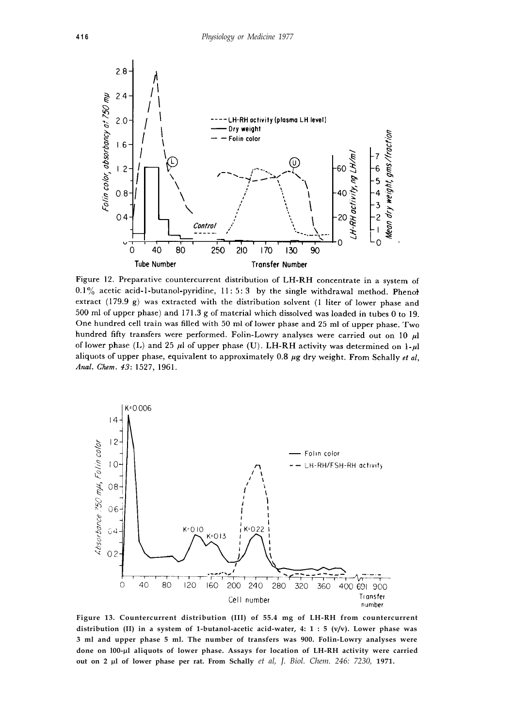

Figure 12. Preparative countercurrent distribution of LH-RH concentrate in a system of  $0.1\%$  acetic acid-1-butanol-pyridine,  $11:5:3$  by the single withdrawal method. Phenol extract (179.9 g) was extracted with the distribution solvent (1 liter of lower phase and 500 ml of upper phase) and 171.3 g of material which dissolved was loaded in tubes 0 to 19. One hundred cell train was filled with 50 ml of lower phase and 25 ml of upper phase. Two hundred fifty transfers were performed. Folin-Lowry analyses were carried out on 10 µl of lower phase (L) and 25  $\mu$ l of upper phase (U). LH-RH activity was determined on 1- $\mu$ l aliquots of upper phase, equivalent to approximately  $0.8 \mu g$  dry weight. From Schally et al. Anal. Chem. 43: 1527, 1961.



**Figure 13. Countercurrent distribution (III) of 55.4 mg of LH-RH from countercurrent distribution (II) in a system of 1-butanol-acetic acid-water, 4: 1 : 5 (v/v). Lower phase was 3 ml and upper phase 5 ml. The number of transfers was 900. Folin-Lowry analyses were done on l00-µl aliquots of lower phase. Assays for location of LH-RH activity were carried out on 2 µl of lower phase per rat. From Schally** *et al, J. Biol. Chem. 246: 7230,* **1971.**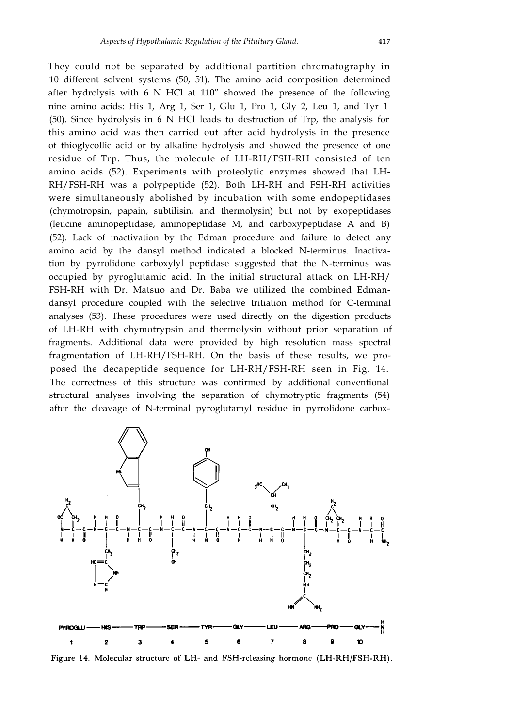They could not be separated by additional partition chromatography in 10 different solvent systems (50, 51). The amino acid composition determined after hydrolysis with  $6 \text{ N}$  HCl at  $110^{\prime\prime}$  showed the presence of the following nine amino acids: His 1, Arg 1, Ser 1, Glu 1, Pro 1, Gly 2, Leu 1, and Tyr 1 (50). Since hydrolysis in 6 N HCl leads to destruction of Trp, the analysis for this amino acid was then carried out after acid hydrolysis in the presence of thioglycollic acid or by alkaline hydrolysis and showed the presence of one residue of Trp. Thus, the molecule of LH-RH/FSH-RH consisted of ten amino acids (52). Experiments with proteolytic enzymes showed that LH-RH/FSH-RH was a polypeptide (52). Both LH-RH and FSH-RH activities were simultaneously abolished by incubation with some endopeptidases (chymotropsin, papain, subtilisin, and thermolysin) but not by exopeptidases (leucine aminopeptidase, aminopeptidase M, and carboxypeptidase A and B) (52). Lack of inactivation by the Edman procedure and failure to detect any amino acid by the dansyl method indicated a blocked N-terminus. Inactivation by pyrrolidone carboxylyl peptidase suggested that the N-terminus was occupied by pyroglutamic acid. In the initial structural attack on LH-RH/ FSH-RH with Dr. Matsuo and Dr. Baba we utilized the combined Edmandansyl procedure coupled with the selective tritiation method for C-terminal analyses (53). These procedures were used directly on the digestion products

of LH-RH with chymotrypsin and thermolysin without prior separation of fragments. Additional data were provided by high resolution mass spectral fragmentation of LH-RH/FSH-RH. On the basis of these results, we proposed the decapeptide sequence for LH-RH/FSH-RH seen in Fig. 14. The correctness of this structure was confirmed by additional conventional structural analyses involving the separation of chymotryptic fragments (54) after the cleavage of N-terminal pyroglutamyl residue in pyrrolidone carbox-



Figure 14. Molecular structure of LH- and FSH-releasing hormone (LH-RH/FSH-RH).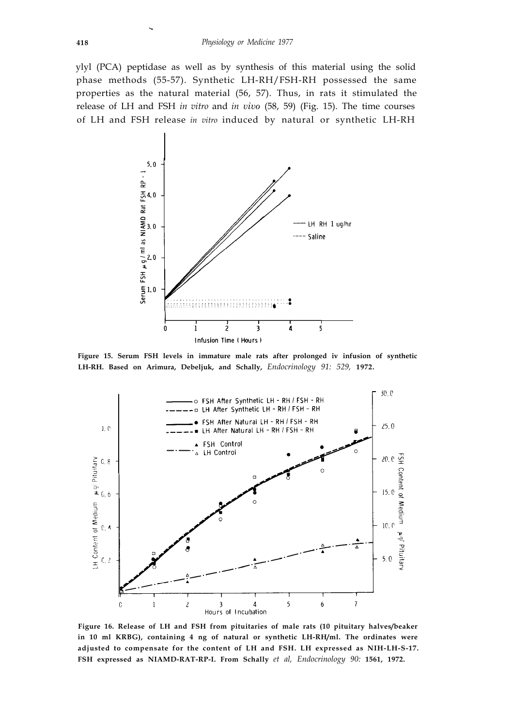ylyl (PCA) peptidase as well as by synthesis of this material using the solid phase methods (55-57). Synthetic LH-RH/FSH-RH possessed the same properties as the natural material (56, 57). Thus, in rats it stimulated the release of LH and FSH *in vitro* and *in vivo* (58, 59) (Fig. 15). The time courses of LH and FSH release *in vitro* induced by natural or synthetic LH-RH



**Figure 15. Serum FSH levels in immature male rats after prolonged iv infusion of synthetic LH-RH. Based on Arimura, Debeljuk, and Schally,** *Endocrinology 91: 529,* **1972.**



**Figure 16. Release of LH and FSH from pituitaries of male rats (10 pituitary halves/beaker in 10 ml KRBG), containing 4 ng of natural or synthetic LH-RH/ml. The ordinates were adjusted to compensate for the content of LH and FSH. LH expressed as NIH-LH-S-17. FSH expressed as NIAMD-RAT-RP-I. From Schally** *et al, Endocrinology 90:* **1561, 1972.**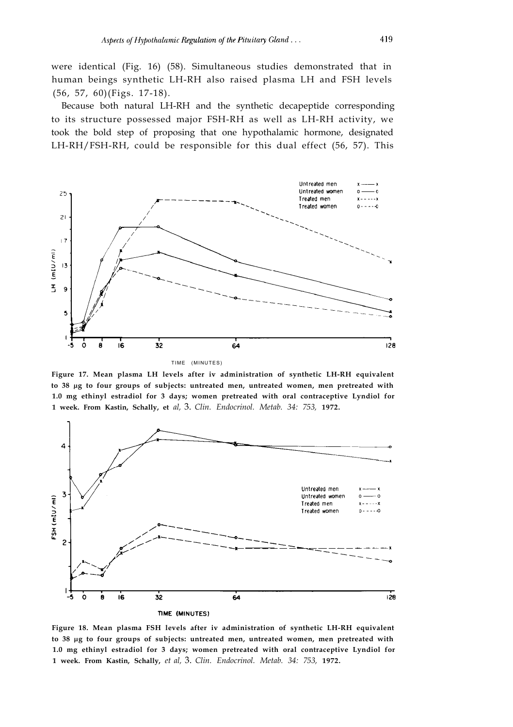were identical (Fig. 16) (58). Simultaneous studies demonstrated that in human beings synthetic LH-RH also raised plasma LH and FSH levels (56, 57, 60)(Figs. 17-18).

Because both natural LH-RH and the synthetic decapeptide corresponding to its structure possessed major FSH-RH as well as LH-RH activity, we took the bold step of proposing that one hypothalamic hormone, designated LH-RH/FSH-RH, could be responsible for this dual effect (56, 57). This





**Figure 17. Mean plasma LH levels after iv administration of synthetic LH-RH equivalent to 38 µg to four groups of subjects: untreated men, untreated women, men pretreated with 1.0 mg ethinyl estradiol for 3 days; women pretreated with oral contraceptive Lyndiol for 1 week. From Kastin, Schally, et** *al,* 3. *Clin. Endocrinol. Metab. 34: 753,* **1972.**



**Figure 18. Mean plasma FSH levels after iv administration of synthetic LH-RH equivalent to 38 µg to four groups of subjects: untreated men, untreated women, men pretreated with 1.0 mg ethinyl estradiol for 3 days; women pretreated with oral contraceptive Lyndiol for 1 week. From Kastin, Schally,** *et al,* 3. *Clin. Endocrinol. Metab. 34: 753,* **1972.**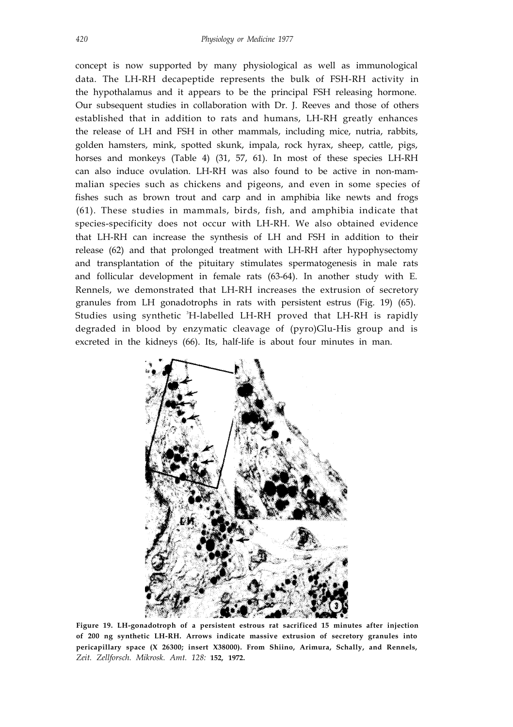concept is now supported by many physiological as well as immunological data. The LH-RH decapeptide represents the bulk of FSH-RH activity in the hypothalamus and it appears to be the principal FSH releasing hormone. Our subsequent studies in collaboration with Dr. J. Reeves and those of others established that in addition to rats and humans, LH-RH greatly enhances the release of LH and FSH in other mammals, including mice, nutria, rabbits, golden hamsters, mink, spotted skunk, impala, rock hyrax, sheep, cattle, pigs, horses and monkeys (Table 4) (31, 57, 61). In most of these species LH-RH can also induce ovulation. LH-RH was also found to be active in non-mammalian species such as chickens and pigeons, and even in some species of fishes such as brown trout and carp and in amphibia like newts and frogs (61). These studies in mammals, birds, fish, and amphibia indicate that species-specificity does not occur with LH-RH. We also obtained evidence that LH-RH can increase the synthesis of LH and FSH in addition to their release (62) and that prolonged treatment with LH-RH after hypophysectomy and transplantation of the pituitary stimulates spermatogenesis in male rats and follicular development in female rats (63-64). In another study with E. Rennels, we demonstrated that LH-RH increases the extrusion of secretory granules from LH gonadotrophs in rats with persistent estrus (Fig. 19) (65). Studies using synthetic <sup>3</sup>H-labelled LH-RH proved that LH-RH is rapidly degraded in blood by enzymatic cleavage of (pyro)Glu-His group and is excreted in the kidneys (66). Its, half-life is about four minutes in man.



**Figure 19. LH-gonadotroph of a persistent estrous rat sacrificed 15 minutes after injection of 200 ng synthetic LH-RH. Arrows indicate massive extrusion of secretory granules into pericapillary space (X 26300; insert X38000). From Shiino, Arimura, Schally, and Rennels,** *Zeit. Zellforsch. Mikrosk. Amt. 128:* **152, 1972.**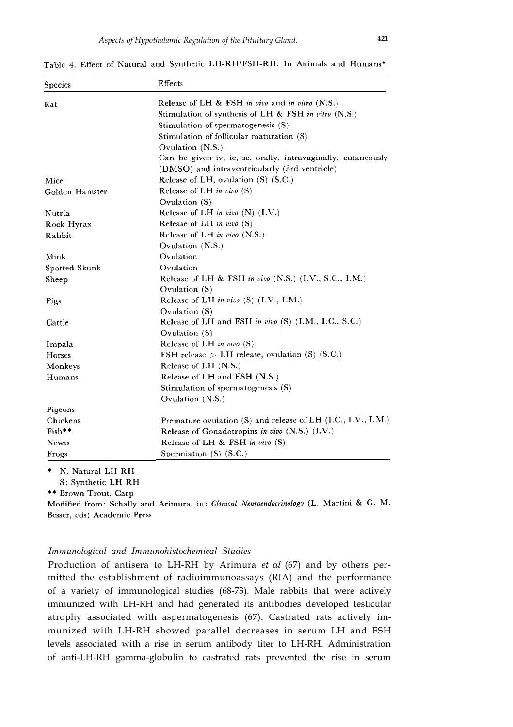| <b>Species</b> | <b>Effects</b>                                               |  |  |  |
|----------------|--------------------------------------------------------------|--|--|--|
| Rat            | Release of LH & FSH in vivo and in vitro (N.S.)              |  |  |  |
|                | Stimulation of synthesis of LH & FSH in vitro (N.S.)         |  |  |  |
|                | Stimulation of spermatogenesis $(S)$                         |  |  |  |
|                | Stimulation of follicular maturation (S)                     |  |  |  |
|                | Ovulation (N.S.)                                             |  |  |  |
|                | Can be given iv, ic, sc, orally, intravaginally, cutaneously |  |  |  |
|                | (DMSO) and intraventricularly (3rd ventricle)                |  |  |  |
| Mice           | Release of LH, ovulation $(S)$ $(S, C)$                      |  |  |  |
| Golden Hamster | Release of LH in vivo $(S)$                                  |  |  |  |
|                | Ovulation (S)                                                |  |  |  |
| Nutria         | Release of LH in vivo $(N)$ $(1.V.)$                         |  |  |  |
| Rock Hyrax     | Release of LH in vivo $(S)$                                  |  |  |  |
| Rabbit         | Release of LH in vivo (N.S.)                                 |  |  |  |
|                | Ovulation (N.S.)                                             |  |  |  |
| Mink           | Ovulation                                                    |  |  |  |
| Spotted Skunk  | Ovulation                                                    |  |  |  |
| Sheep          | Release of LH & FSH in vivo (N.S.) (I.V., S.C., I.M.)        |  |  |  |
|                | Ovulation $(S)$                                              |  |  |  |
| Pigs           | Release of LH in vivo $(S)$ $(I.V., I.M.)$                   |  |  |  |
|                | Ovulation (S)                                                |  |  |  |
| Cattle         | Release of LH and FSH in vivo (S) (I.M., I.C., S.C.)         |  |  |  |
|                | Ovulation (S)                                                |  |  |  |
| Impala         | Release of LH in vivo (S)                                    |  |  |  |
| Horses         | FSH release $> LH$ release, ovulation (S) (S.C.)             |  |  |  |
| Monkeys        | Release of LH (N.S.)                                         |  |  |  |
| Humans         | Release of LH and FSH (N.S.)                                 |  |  |  |
|                | Stimulation of spermatogenesis $(S)$                         |  |  |  |
|                | Ovulation (N.S.)                                             |  |  |  |
| Pigeons        |                                                              |  |  |  |
| Chickens       | Premature ovulation (S) and release of LH (I.C., I.V., I.M.) |  |  |  |
| Fish**         | Release of Gonadotropins in vivo (N.S.) (I.V.)               |  |  |  |
| <b>Newts</b>   | Release of LH & FSH in vivo (S)                              |  |  |  |
| Frogs          | Spermiation $(S)$ $(S.C.)$                                   |  |  |  |

Table 4. Effect of Natural and Synthetic LH-RH/FSH-RH. In Animals and Humans\*

\* N. Natural LH RH

S: Synthetic LH RH \*\* Brown Trout, Carp

Modified from: Schally and Arimura, in: Clinical Neuroendocrinology (L. Martini & G. M. Besser, eds) Academic Press

#### *Immunological and Immunohistochemical Studies*

Production of antisera to LH-RH by Arimura *et al* (67) and by others permitted the establishment of radioimmunoassays (RIA) and the performance of a variety of immunological studies (68-73). Male rabbits that were actively immunized with LH-RH and had generated its antibodies developed testicular atrophy associated with aspermatogenesis (67). Castrated rats actively immunized with LH-RH showed parallel decreases in serum LH and FSH levels associated with a rise in serum antibody titer to LH-RH. Administration of anti-LH-RH gamma-globulin to castrated rats prevented the rise in serum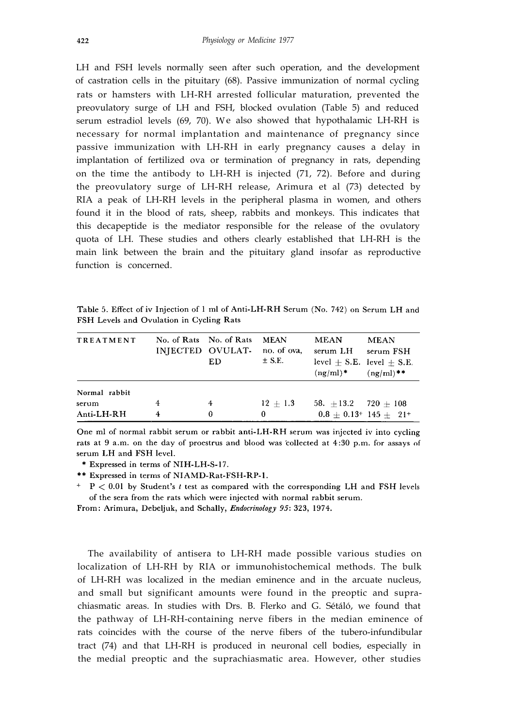LH and FSH levels normally seen after such operation, and the development of castration cells in the pituitary (68). Passive immunization of normal cycling rats or hamsters with LH-RH arrested follicular maturation, prevented the preovulatory surge of LH and FSH, blocked ovulation (Table 5) and reduced serum estradiol levels (69, 70). We also showed that hypothalamic LH-RH is necessary for normal implantation and maintenance of pregnancy since passive immunization with LH-RH in early pregnancy causes a delay in implantation of fertilized ova or termination of pregnancy in rats, depending on the time the antibody to LH-RH is injected (71, 72). Before and during the preovulatory surge of LH-RH release, Arimura et al (73) detected by RIA a peak of LH-RH levels in the peripheral plasma in women, and others found it in the blood of rats, sheep, rabbits and monkeys. This indicates that this decapeptide is the mediator responsible for the release of the ovulatory quota of LH. These studies and others clearly established that LH-RH is the main link between the brain and the pituitary gland insofar as reproductive function is concerned.

Table 5. Effect of iv Injection of 1 ml of Anti-LH-RH Serum (No. 742) on Serum LH and FSH Levels and Ovulation in Cycling Rats

| <b>TREATMENT</b> | No. of Rats No. of Rats<br>INJECTED OVULAT- | ED | <b>MEAN</b><br>no. of ova,<br>$\pm$ S.E. | <b>MEAN</b><br>serum LH<br>$level + S.E. level + S.E.$<br>$(ng/ml)^*$ | <b>MEAN</b><br>serum FSH<br>$(ng/ml)$ ** |
|------------------|---------------------------------------------|----|------------------------------------------|-----------------------------------------------------------------------|------------------------------------------|
| Normal rabbit    |                                             |    |                                          |                                                                       |                                          |
| serum            | 4                                           | 4  | $12 + 1.3$                               | 58. $+13.2$ 720 $+108$                                                |                                          |
| Anti-LH-RH       | 4                                           | 0  | 0                                        | $0.8 + 0.13 + 145 + 21 +$                                             |                                          |

One ml of normal rabbit serum or rabbit anti-LH-RH serum was injected iv into cycling rats at 9 a.m. on the day of proestrus and blood was 'collected at 4:30 p.m. for assays of serum LH and FSH level.

\* Expressed in terms of NIH-LH-S-17.

\*\* Expressed in terms of NIAMD-Rat-FSH-RP-1.

 $+$  P  $< 0.01$  by Student's t test as compared with the corresponding LH and FSH levels of the sera from the rats which were injected with normal rabbit serum.

From: Arimura, Debeljuk, and Schally, Endocrinology 95: 323, 1974.

The availability of antisera to LH-RH made possible various studies on localization of LH-RH by RIA or immunohistochemical methods. The bulk of LH-RH was localized in the median eminence and in the arcuate nucleus, and small but significant amounts were found in the preoptic and suprachiasmatic areas. In studies with Drs. B. Flerko and G. Sétáló, we found that the pathway of LH-RH-containing nerve fibers in the median eminence of rats coincides with the course of the nerve fibers of the tubero-infundibular tract (74) and that LH-RH is produced in neuronal cell bodies, especially in the medial preoptic and the suprachiasmatic area. However, other studies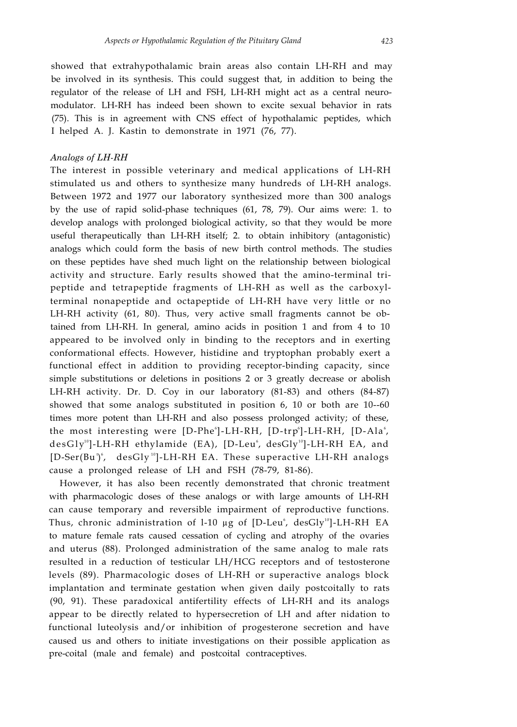showed that extrahypothalamic brain areas also contain LH-RH and may be involved in its synthesis. This could suggest that, in addition to being the regulator of the release of LH and FSH, LH-RH might act as a central neuromodulator. LH-RH has indeed been shown to excite sexual behavior in rats (75). This is in agreement with CNS effect of hypothalamic peptides, which I helped A. J. Kastin to demonstrate in 1971 (76, 77).

#### *Analogs of LH-RH*

The interest in possible veterinary and medical applications of LH-RH stimulated us and others to synthesize many hundreds of LH-RH analogs. Between 1972 and 1977 our laboratory synthesized more than 300 analogs by the use of rapid solid-phase techniques (61, 78, 79). Our aims were: 1. to develop analogs with prolonged biological activity, so that they would be more useful therapeutically than LH-RH itself; 2. to obtain inhibitory (antagonistic) analogs which could form the basis of new birth control methods. The studies on these peptides have shed much light on the relationship between biological activity and structure. Early results showed that the amino-terminal tripeptide and tetrapeptide fragments of LH-RH as well as the carboxylterminal nonapeptide and octapeptide of LH-RH have very little or no LH-RH activity (61, 80). Thus, very active small fragments cannot be obtained from LH-RH. In general, amino acids in position 1 and from 4 to 10 appeared to be involved only in binding to the receptors and in exerting conformational effects. However, histidine and tryptophan probably exert a functional effect in addition to providing receptor-binding capacity, since simple substitutions or deletions in positions 2 or 3 greatly decrease or abolish LH-RH activity. Dr. D. Coy in our laboratory (81-83) and others (84-87) showed that some analogs substituted in position 6, 10 or both are 10--60 times more potent than LH-RH and also possess prolonged activity; of these, the most interesting were [D-Pheʿ]-LH-RH, [D-trpʿ]-LH-RH, [D-Alaʿ, desGly"]-LH-RH ethylamide (EA), [D-Leu $^{\circ}$ , desGly"]-LH-RH EA, and [D-Ser(Bu)', desGly<sup>10</sup>]-LH-RH EA. These superactive LH-RH analogs cause a prolonged release of LH and FSH (78-79, 81-86).

However, it has also been recently demonstrated that chronic treatment with pharmacologic doses of these analogs or with large amounts of LH-RH can cause temporary and reversible impairment of reproductive functions. Thus, chronic administration of l-10 μg of [D-Leuʿ, desGlyʰ]-LH-RH EA to mature female rats caused cessation of cycling and atrophy of the ovaries and uterus (88). Prolonged administration of the same analog to male rats resulted in a reduction of testicular LH/HCG receptors and of testosterone levels (89). Pharmacologic doses of LH-RH or superactive analogs block implantation and terminate gestation when given daily postcoitally to rats (90, 91). These paradoxical antifertility effects of LH-RH and its analogs appear to be directly related to hypersecretion of LH and after nidation to functional luteolysis and/or inhibition of progesterone secretion and have caused us and others to initiate investigations on their possible application as pre-coital (male and female) and postcoital contraceptives.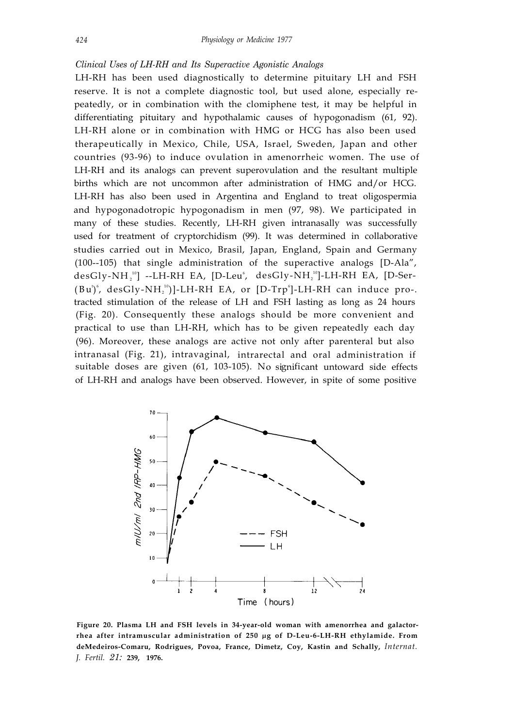#### *Clinical Uses of LH-RH and Its Superactive Agonistic Analogs*

LH-RH has been used diagnostically to determine pituitary LH and FSH reserve. It is not a complete diagnostic tool, but used alone, especially repeatedly, or in combination with the clomiphene test, it may be helpful in differentiating pituitary and hypothalamic causes of hypogonadism (61, 92). LH-RH alone or in combination with HMG or HCG has also been used therapeutically in Mexico, Chile, USA, Israel, Sweden, Japan and other countries (93-96) to induce ovulation in amenorrheic women. The use of LH-RH and its analogs can prevent superovulation and the resultant multiple births which are not uncommon after administration of HMG and/or HCG. LH-RH has also been used in Argentina and England to treat oligospermia and hypogonadotropic hypogonadism in men (97, 98). We participated in many of these studies. Recently, LH-RH given intranasally was successfully used for treatment of cryptorchidism (99). It was determined in collaborative studies carried out in Mexico, Brasil, Japan, England, Spain and Germany (100--105) that single administration of the superactive analogs [D-Ala", desGly-NH  $_2^\mathrm{10}$ ] --LH-RH EA, [D-Leu $^\mathrm{6}$ , desGly-NH  $_2^\mathrm{10}$ ]-LH-RH EA, [D-Ser-(Bu')<sup>6</sup>, desGly-NH<sub>2</sub><sup>10</sup>)]-LH-RH EA, or [D-Trp<sup>6</sup>]-LH-RH can induce pro-. tracted stimulation of the release of LH and FSH lasting as long as 24 hours (Fig. 20). Consequently these analogs should be more convenient and practical to use than LH-RH, which has to be given repeatedly each day (96). Moreover, these analogs are active not only after parenteral but also intranasal (Fig. 21), intravaginal, intrarectal and oral administration if suitable doses are given (61, 103-105). No significant untoward side effects of LH-RH and analogs have been observed. However, in spite of some positive



**Figure 20. Plasma LH and FSH levels in 34-year-old woman with amenorrhea and galactorrhea after intramuscular administration of 250 µg of D-Leu-6-LH-RH ethylamide. From deMedeiros-Comaru, Rodrigues, Povoa, France, Dimetz, Coy, Kastin and Schally,** *Internat. J. Fertil. 21:* **239, 1976.**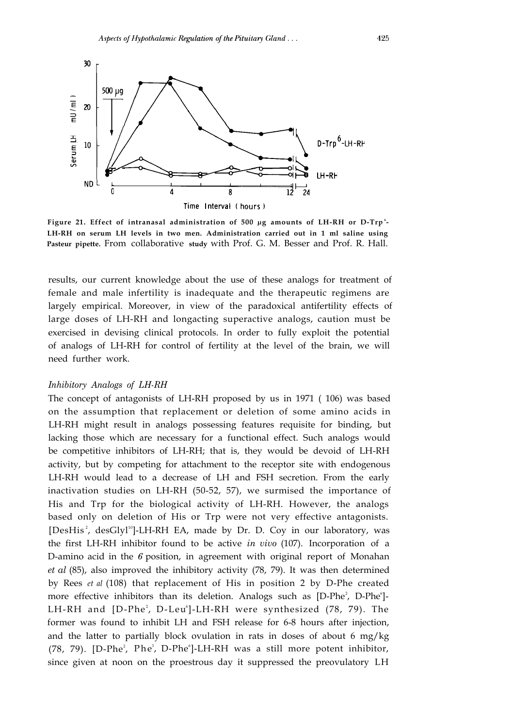

**Figure 21. Effect of intranasal administration of 500 µg amounts of LH-RH or D-Trp <sup>6</sup> - LH-RH on serum LH levels in two men. Administration carried out in 1 ml saline using Pasteur pipette.** From collaborative **study** with Prof. G. M. Besser and Prof. R. Hall.

results, our current knowledge about the use of these analogs for treatment of female and male infertility is inadequate and the therapeutic regimens are largely empirical. Moreover, in view of the paradoxical antifertility effects of large doses of LH-RH and longacting superactive analogs, caution must be exercised in devising clinical protocols. In order to fully exploit the potential of analogs of LH-RH for control of fertility at the level of the brain, we will need further work.

#### *Inhibitory Analogs of LH-RH*

The concept of antagonists of LH-RH proposed by us in 1971 ( 106) was based on the assumption that replacement or deletion of some amino acids in LH-RH might result in analogs possessing features requisite for binding, but lacking those which are necessary for a functional effect. Such analogs would be competitive inhibitors of LH-RH; that is, they would be devoid of LH-RH activity, but by competing for attachment to the receptor site with endogenous LH-RH would lead to a decrease of LH and FSH secretion. From the early inactivation studies on LH-RH (50-52, 57), we surmised the importance of His and Trp for the biological activity of LH-RH. However, the analogs based only on deletion of His or Trp were not very effective antagonists. [DesHis<sup>2</sup>, desGlyl<sup>10</sup>]-LH-RH EA, made by Dr. D. Coy in our laboratory, was the first LH-RH inhibitor found to be active *in vivo* (107). Incorporation of a D-amino acid in the *6* position, in agreement with original report of Monahan *et al* (85), also improved the inhibitory activity (78, 79). It was then determined by Rees *et al* (108) that replacement of His in position 2 by D-Phe created more effective inhibitors than its deletion. Analogs such as [D-Phe<sup>2</sup>, D-Phe<sup>8</sup>]-LH-RH and [D-Phe<sup>2</sup>, D-Leu<sup>6</sup>]-LH-RH were synthesized (78, 79). The former was found to inhibit LH and FSH release for 6-8 hours after injection, and the latter to partially block ovulation in rats in doses of about 6 mg/kg (78, 79). [D-Phe<sup>2</sup>, Phe<sup>3</sup>, D-Phe<sup>6</sup>]-LH-RH was a still more potent inhibitor, since given at noon on the proestrous day it suppressed the preovulatory LH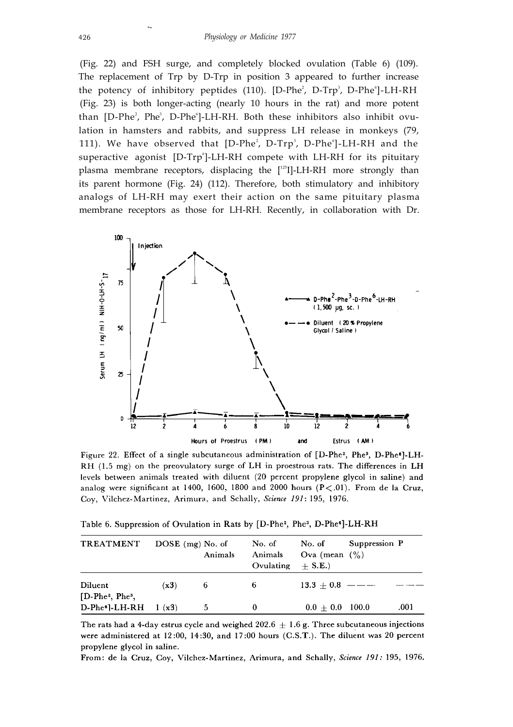(Fig. 22) and FSH surge, and completely blocked ovulation (Table 6) (109). The replacement of Trp by D-Trp in position 3 appeared to further increase the potency of inhibitory peptides (110). [D-Phe², D-Trpʾ, D-Pheʿ]-LH-RH (Fig. 23) is both longer-acting (nearly 10 hours in the rat) and more potent than [D-Phe $^2$ , Phe $^3$ , D-Phe $^6$ ]-LH-RH. Both these inhibitors also inhibit ovulation in hamsters and rabbits, and suppress LH release in monkeys (79, 111). We have observed that [D-Phe $^{\rm 2}$ , D-Trp $^{\rm 3}$ , D-Phe $^{\rm 6}$ ]-LH-RH and the superactive agonist [D-Trp<sup>6</sup>]-LH-RH compete with LH-RH for its pituitary plasma membrane receptors, displacing the  $[125]$ -LH-RH more strongly than its parent hormone (Fig. 24) (112). Therefore, both stimulatory and inhibitory analogs of LH-RH may exert their action on the same pituitary plasma membrane receptors as those for LH-RH. Recently, in collaboration with Dr.



Figure 22. Effect of a single subcutaneous administration of [D-Phe<sup>2</sup>, Phe<sup>3</sup>, D-Phe<sup>6</sup>]-LH-RH (1.5 mg) on the preovulatory surge of LH in proestrous rats. The differences in LH levels between animals treated with diluent (20 percent propylene glycol in saline) and analog were significant at 1400, 1600, 1800 and 2000 hours  $(P < 0.01)$ . From de la Cruz, Coy, Vilchez-Martinez, Arimura, and Schally, Science 191: 195, 1976.

Table 6. Suppression of Ovulation in Rats by [D-Phe<sup>2</sup>, Phe<sup>3</sup>, D-Phe<sup>6</sup>]-LH-RH

| <b>TREATMENT</b>                               | DOSE $(mg)$ No. of | Animals | No. of No. of<br>Animals<br>Ovulating $+ S.E.$ | Ova (mean $(\%)$ ) | Suppression P |      |
|------------------------------------------------|--------------------|---------|------------------------------------------------|--------------------|---------------|------|
| Diluent                                        | (x3)               | -6      | 6.                                             | $13.3 + 0.8$ ---   |               |      |
| $[D-Phe^2, Phe^3,$<br>$D-Phe6$ l-LH-RH $1(x3)$ |                    |         | 0                                              | $0.0 + 0.0$ 100.0  |               | .001 |

The rats had a 4-day estrus cycle and weighed 202.6  $\pm$  1.6 g. Three subcutaneous injections were administered at 12:00, 14:30, and 17:00 hours (C.S.T.). The diluent was 20 percent propylene glycol in saline.

From: de la Cruz, Coy, Vilchez-Martinez, Arimura, and Schally, Science 191: 195, 1976.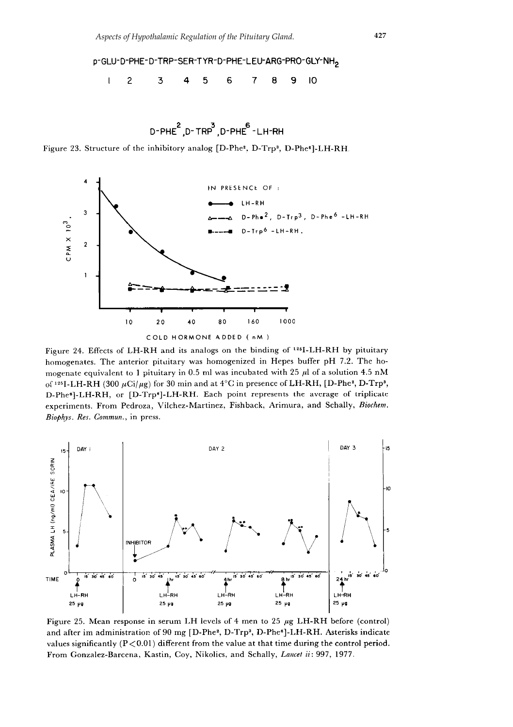p-GLU-D-PHE-D-TRP-SER-TYR-D-PHE-LEU-ARG-PRO-GLY-NH2

 $\overline{c}$ 3 4 5 6  $\overline{7}$ 8 9 IO

 $D$ -PHE $2$ ,  $D$ -TRP,  $D$ -PHE $6$ -LH-RH

Figure 23. Structure of the inhibitory analog [D-Phe<sup>2</sup>, D-Trp<sup>3</sup>, D-Phe<sup>6</sup>]-LH-RH.







Figure 25. Mean response in serum LH levels of 4 men to 25  $\mu$ g LH-RH before (control) and after im administration of 90 mg [D-Phe<sup>2</sup>, D-Trp<sup>3</sup>, D-Phe<sup>6</sup>]-LH-RH. Asterisks indicate values significantly  $(P<0.01)$  different from the value at that time during the control period. From Gonzalez-Barcena, Kastin, Coy, Nikolics, and Schally, Lancet ii: 997, 1977.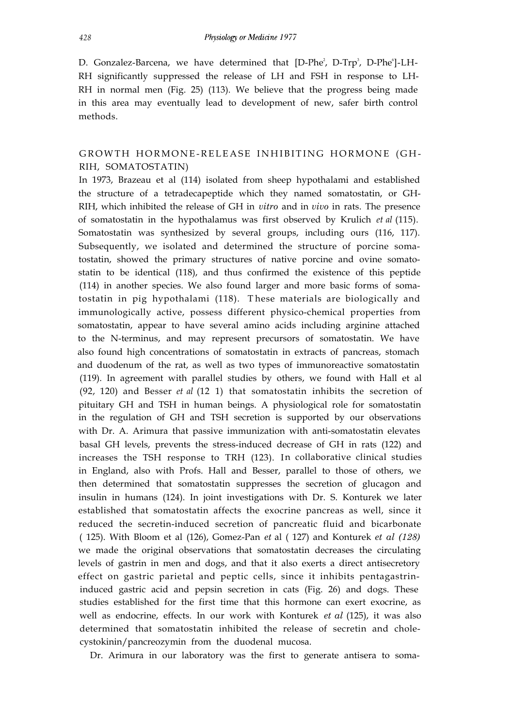D. Gonzalez-Barcena, we have determined that [D-Phe<sup>2</sup>, D-Trp<sup>3</sup>, D-Phe<sup>6</sup>]-LH-RH significantly suppressed the release of LH and FSH in response to LH-RH in normal men (Fig. 25) (113). We believe that the progress being made in this area may eventually lead to development of new, safer birth control methods.

## GROWTH HORMONE-RELEASE INHIBITING HORMONE (GH-RIH, SOMATOSTATIN)

In 1973, Brazeau et al (114) isolated from sheep hypothalami and established the structure of a tetradecapeptide which they named somatostatin, or GH-RIH, which inhibited the release of GH in *vitro* and in *vivo* in rats. The presence of somatostatin in the hypothalamus was first observed by Krulich *et al* (115). Somatostatin was synthesized by several groups, including ours (116, 117). Subsequently, we isolated and determined the structure of porcine somatostatin, showed the primary structures of native porcine and ovine somatostatin to be identical (118), and thus confirmed the existence of this peptide (114) in another species. We also found larger and more basic forms of somatostatin in pig hypothalami (118). T hese materials are biologically and immunologically active, possess different physico-chemical properties from somatostatin, appear to have several amino acids including arginine attached to the N-terminus, and may represent precursors of somatostatin. We have also found high concentrations of somatostatin in extracts of pancreas, stomach and duodenum of the rat, as well as two types of immunoreactive somatostatin (119). In agreement with parallel studies by others, we found with Hall et al (92, 120) and Besser *et al* (12 1) that somatostatin inhibits the secretion of pituitary GH and TSH in human beings. A physiological role for somatostatin in the regulation of GH and TSH secretion is supported by our observations with Dr. A. Arimura that passive immunization with anti-somatostatin elevates basal GH levels, prevents the stress-induced decrease of GH in rats (122) and increases the TSH response to TRH (123). In collaborative clinical studies in England, also with Profs. Hall and Besser, parallel to those of others, we then determined that somatostatin suppresses the secretion of glucagon and insulin in humans (124). In joint investigations with Dr. S. Konturek we later established that somatostatin affects the exocrine pancreas as well, since it reduced the secretin-induced secretion of pancreatic fluid and bicarbonate ( 125). With Bloom et al (126), Gomez-Pan *et* al ( 127) and Konturek *et al (128)* we made the original observations that somatostatin decreases the circulating levels of gastrin in men and dogs, and that it also exerts a direct antisecretory effect on gastric parietal and peptic cells, since it inhibits pentagastrininduced gastric acid and pepsin secretion in cats (Fig. 26) and dogs. These studies established for the first time that this hormone can exert exocrine, as well as endocrine, effects. In our work with Konturek *et al* (125), it was also determined that somatostatin inhibited the release of secretin and cholecystokinin/pancreozymin from the duodenal mucosa.

Dr. Arimura in our laboratory was the first to generate antisera to soma-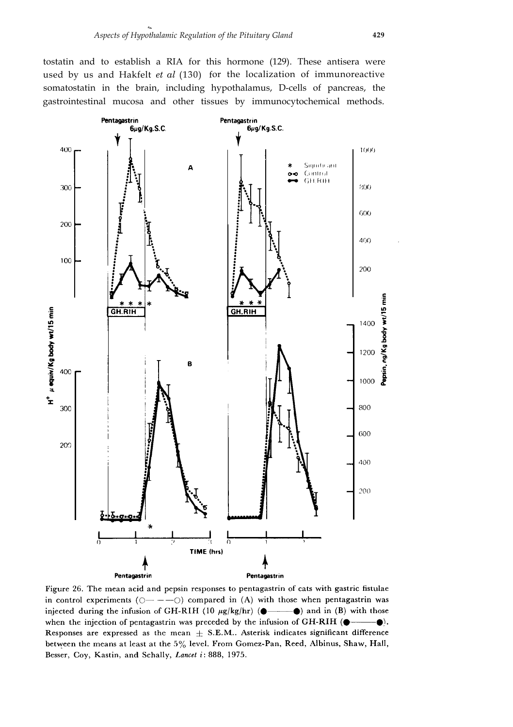tostatin and to establish a RIA for this hormone (129). These antisera were used by us and Hakfelt *et al* (130) for the localization of immunoreactive somatostatin in the brain, including hypothalamus, D-cells of pancreas, the gastrointestinal mucosa and other tissues by immunocytochemical methods.



Figure 26. The mean acid and pepsin responses to pentagastrin of cats with gastric fistulae in control experiments  $( \bigcirc - - \bigcirc )$  compared in (A) with those when pentagastrin was  $\longrightarrow$  and in (B) with those injected during the infusion of GH-RIH (10  $\mu$ g/kg/hr) ( $\bullet$ when the injection of pentagastrin was preceded by the infusion of GH-RIH ( $\bullet$ --0). Responses are expressed as the mean  $\pm$  S.E.M.. Asterisk indicates significant difference between the means at least at the 5% level. From Gomez-Pan, Reed, Albinus, Shaw, Hall, Besser, Coy, Kastin, and Schally, Lancet i: 888, 1975.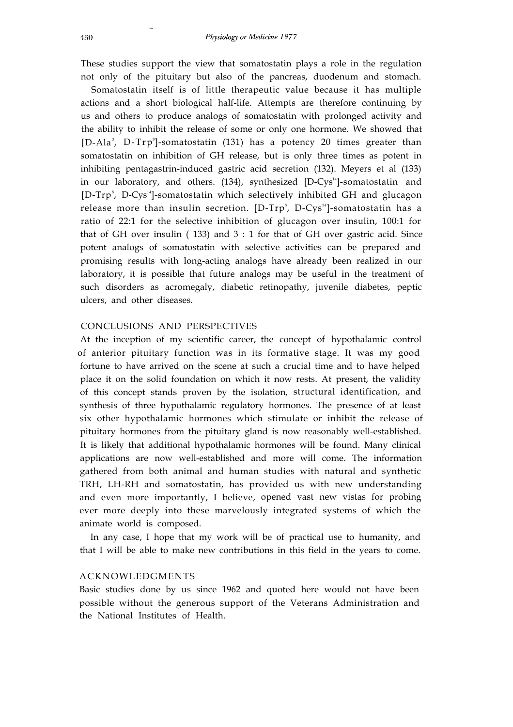These studies support the view that somatostatin plays a role in the regulation not only of the pituitary but also of the pancreas, duodenum and stomach.

Somatostatin itself is of little therapeutic value because it has multiple actions and a short biological half-life. Attempts are therefore continuing by us and others to produce analogs of somatostatin with prolonged activity and the ability to inhibit the release of some or only one hormone. We showed that [D-Ala<sup>2</sup>, D-Trp<sup>8</sup>]-somatostatin (131) has a potency 20 times greater than somatostatin on inhibition of GH release, but is only three times as potent in inhibiting pentagastrin-induced gastric acid secretion (132). Meyers et al (133) in our laboratory, and others.  $(134)$ , synthesized [D-Cys<sup>14</sup>]-somatostatin and [D-Trp<sup>8</sup>, D-Cys<sup>14</sup>]-somatostatin which selectively inhibited GH and glucagon release more than insulin secretion.  $[D\text{-}\mathrm{Trp}^s$ ,  $D\text{-}\mathrm{Cys}^{\text{14}}]$ -somatostatin has a ratio of 22:1 for the selective inhibition of glucagon over insulin, 100:1 for that of GH over insulin ( 133) and 3 : 1 for that of GH over gastric acid. Since potent analogs of somatostatin with selective activities can be prepared and promising results with long-acting analogs have already been realized in our laboratory, it is possible that future analogs may be useful in the treatment of such disorders as acromegaly, diabetic retinopathy, juvenile diabetes, peptic ulcers, and other diseases.

#### CONCLUSIONS AND PERSPECTIVES

At the inception of my scientific career, the concept of hypothalamic control of anterior pituitary function was in its formative stage. It was my good fortune to have arrived on the scene at such a crucial time and to have helped place it on the solid foundation on which it now rests. At present, the validity of this concept stands proven by the isolation, structural identification, and synthesis of three hypothalamic regulatory hormones. The presence of at least six other hypothalamic hormones which stimulate or inhibit the release of pituitary hormones from the pituitary gland is now reasonably well-established. It is likely that additional hypothalamic hormones will be found. Many clinical applications are now well-established and more will come. The information gathered from both animal and human studies with natural and synthetic TRH, LH-RH and somatostatin, has provided us with new understanding and even more importantly, I believe, opened vast new vistas for probing ever more deeply into these marvelously integrated systems of which the animate world is composed.

In any case, I hope that my work will be of practical use to humanity, and that I will be able to make new contributions in this field in the years to come.

### ACKNOWLEDGMENTS

Basic studies done by us since 1962 and quoted here would not have been possible without the generous support of the Veterans Administration and the National Institutes of Health.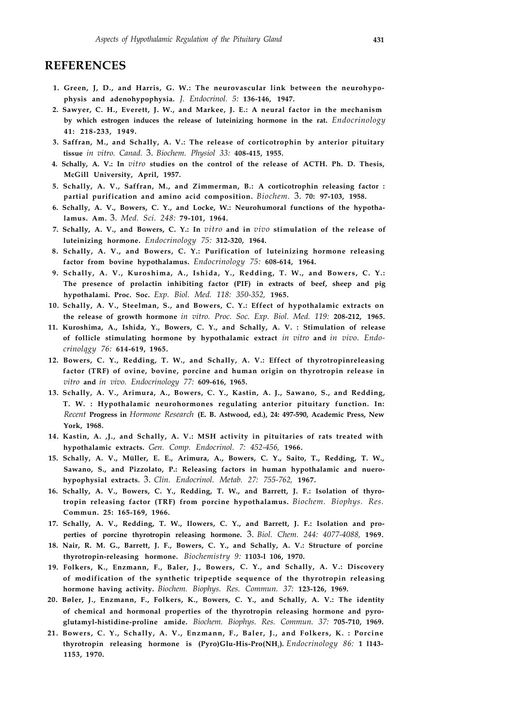# **REFERENCES**

- **1. Green, J, D., and Harris, G. W.: The neurovascular link between the neurohypophysis and adenohypophysia.** *J. Endocrinol. 5:* **136-146, 1947.**
- **2. Sawyer, C. H., Everett, J. W., and Markee, J. E.: A neural factor in the mechanism by which estrogen induces the release of luteinizing hormone in the rat.** *Endocrinology* **41: 218-233, 1949.**
- **3. Saffran, M., and Schally, A. V.: The release of corticotrophin by anterior pituitary tissue** *in vitro. Canad.* 3. *Biochem. Physiol 33:* **408-415, 1955.**
- **4. Schally, A. V.: In** *vitro* **studies on the control of the release of ACTH. Ph. D. Thesis, McGill University, April, 1957.**
- **5. Schally, A. V., Saffran, M., and Zimmerman, B.: A corticotrophin releasing factor : partial purification and amino acid composition.** *Biochem.* 3. **70: 97-103, 1958.**
- **6. Schally, A. V., Bowers, C. Y., and Locke, W.: Neurohumoral functions of the hypothalamus. Am.** 3. *Med. Sci. 248:* **79-101, 1964.**
- **7. Schally, A. V., and Bowers, C. Y.: In** *vitro* **and in** *vivo* **stimulation of the release of luteinizing hormone.** *Endocrinology 75:* **312-320, 1964.**
- **8. Schally, A. V., and Bowers, C. Y.: Purification of luteinizing hormone releasing factor from bovine hypothalamus.** *Endocrinology 75:* **608-614, 1964.**
- **9. Schally, A. V., Kuroshima, A., Ishida, Y., Redding, T. W., and Bowers, C. Y.: The presence of prolactin inhibiting factor (PIF) in extracts of beef, sheep and pig hypothalami. Proc. Soc.** *Exp. Biol. Med. 118: 350-352,* **1965.**
- **10. Schally, A. V., Steelman, S., and Bowers, C. Y.: Effect of hypothalamic extracts on the release of growth hormone** *in vitro. Proc. Soc. Exp. Biol. Med. 119:* **208-212, 1965.**
- **11. Kuroshima, A., Ishida, Y., Bowers, C. Y., and Schally, A. V. : Stimulation of release of follicle stimulating hormone by hypothalamic extract** *in vitro* **and** *in vivo. Endocrinolqgy 76:* **614-619, 1965.**
- **12. Bowers, C. Y., Redding, T. W., and Schally, A. V.: Effect of thyrotropinreleasing factor (TRF) of ovine, bovine, porcine and human origin on thyrotropin release in** *vitro* **and** *in vivo. Endocrinology 77:* **609-616, 1965.**
- **13. Schally, A. V., Arimura, A., Bowers, C. Y., Kastin, A. J., Sawano, S., and Redding, T. W. : Hypothalamic neurohormones regulating anterior pituitary function. In:** *Recent* **Progress in** *Hormone Research* **(E. B. Astwood, ed.), 24: 497-590, Academic Press, New York, 1968.**
- **14. Kastin, A. ,J., and Schally, A. V.: MSH activity in pituitaries of rats treated with hypothalamic extracts.** *Gen. Comp. Endocrinol. 7: 452-456,* **1966.**
- **15. Schally, A. V., Müller, E. E., Arimura, A., Bowers, C. Y., Saito, T., Redding, T. W., Sawano, S., and Pizzolato, P.: Releasing factors in human hypothalamic and nuerohypophysial extracts.** 3. *Clin. Endocrinol. Metab. 27: 755-762,* **1967.**
- **16. Schally, A. V., Bowers, C. Y., Redding, T. W., and Barrett, J. F.: Isolation of thyrotropin releasing factor (TRF) from porcine hypothalamus.** *Biochem. Biophys. Res.* **Commun. 25: 165-169, 1966.**
- **17. Schally, A. V., Redding, T. W., Ilowers, C. Y., and Barrett, J. F.: Isolation and properties of porcine thyrotropin releasing hormone.** 3. *Biol. Chem. 244: 4077-4088,* **1969.**
- **18. Nair, R. M. G., Barrett, J. F., Bowers, C. Y., and Schally, A. V.: Structure of porcine thyrotropin-releasing hormone.** *Biochemistry 9:* **1103-l 106, 1970.**
- **19. Folkers, K., Enzmann, F., Baler, J., Bowers, C. Y., and Schally, A. V.: Discovery of modification of the synthetic tripeptide sequence of the thyrotropin releasing hormone having activity.** *Biochem. Biophys. Res. Commun. 37:* **123-126, 1969.**
- **20. Bøler, J., Enzmann, F., Folkers, K., Bowers, C. Y., and Schally, A. V.: The identity of chemical and hormonal properties of the thyrotropin releasing hormone and pyroglutamyl-histidine-proline amide.** *Biochem. Biophys. Res. Commun. 37:* **705-710, 1969.**
- **21. Bowers, C. Y., Schally, A. V., Enzmann, F., Baler, J., and Folkers, K. : Porcine thyrotropin releasing hormone is (Pyro)Glu-His-Pro(NH2).** *Endocrinology 86:* **1 l143- 1153, 1970.**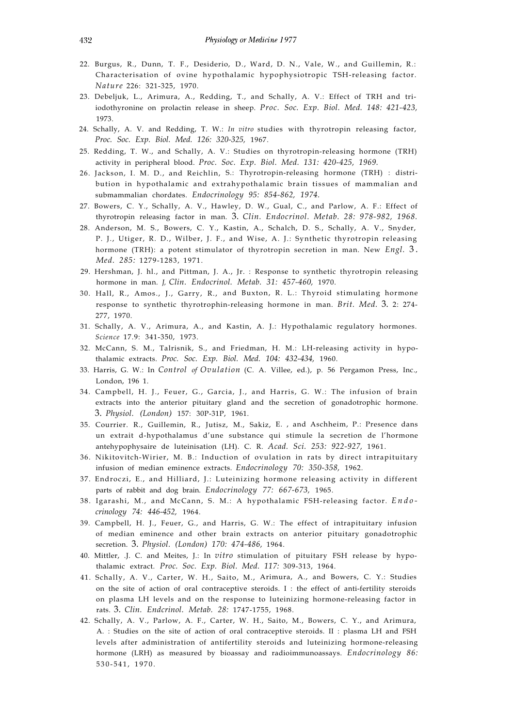- 22. Burgus, R., Dunn, T. F., Desiderio, D., Ward, D. N., Vale, W., and Guillemin, R.: Characterisation of ovine hypothalamic hypophysiotropic TSH-releasing factor. *Nature* 226: 321-325, 1970.
- 23. Debeljuk, L., Arimura, A., Redding, T., and Schally, A. V.: Effect of TRH and triiodothyronine on prolactin release in sheep. *Proc. Soc. Exp. Biol. Med. 148: 421-423,* 1973.
- 24. Schally, A. V. and Redding, T. W.: *In vitro* studies with thyrotropin releasing factor, *Proc. Soc. Exp. Biol. Med. 126: 320-325,* 1967.
- 25. Redding, T. W., and Schally, A. V.: Studies on thyrotropin-releasing hormone (TRH) activity in peripheral blood. *Proc. Soc. Exp. Biol. Med. 131: 420-425, 1969.*
- 26. Jackson, I. M. D., and Reichlin, S.: Thyrotropin-releasing hormone (TRH) : distribution in hypothalamic and extrahypothalamic brain tissues of mammalian and submammalian chordates. *Endocrinology 95: 854-862, 1974.*
- 27. Bowers, C. Y., Schally, A. V., Hawley, D. W., Gual, C., and Parlow, A. F.: Effect of thyrotropin releasing factor in man. 3. *Clin. Endocrinol. Metab. 28: 978-982, 1968.*
- 28. Anderson, M. S., Bowers, C. Y., Kastin, A., Schalch, D. S., Schally, A. V., Snyder, P. J., Utiger, R. D., Wilber, J. F., and Wise, A. J.: Synthetic thyrotropin releasing hormone (TRH): a potent stimulator of thyrotropin secretion in man. New *Engl.* 3 . *Med. 285:* 1279-1283, 1971.
- 29. Hershman, J. hl., and Pittman, J. A., Jr. : Response to synthetic thyrotropin releasing hormone in man. *J, Clin. Endocrinol. Metab. 31: 457-460,* 1970.
- 30. Hall, R., Amos., J., Garry, R., and Buxton, R. L.: Thyroid stimulating hormone response to synthetic thyrotrophin-releasing hormone in man. *Brit. Med.* 3. 2: 274- 277, 1970.
- 31. Schally, A. V., Arimura, A., and Kastin, A. J.: Hypothalamic regulatory hormones. *Science* 17.9: 341-350, 1973.
- 32. McCann, S. M., Talrisnik, S., and Friedman, H. M.: LH-releasing activity in hypothalamic extracts. *Proc. Soc. Exp. Biol. Med. 104: 432-434,* 1960.
- 33. Harris, G. W.: In *Control of Ovulation* (C. A. Villee, ed.), p. 56 Pergamon Press, Inc., London, 196 1.
- 34. Campbell, H. J., Feuer, G., Garcia, J., and Harris, G. W.: The infusion of brain extracts into the anterior pituitary gland and the secretion of gonadotrophic hormone. 3. *Physiol. (London)* 157: 30P-31P, 1961.
- 35. Courrier. R., Guillemin, R., Jutisz, M., Sakiz, E. , and Aschheim, P.: Presence dans un extrait d-hypothalamus d'une substance qui stimule la secretion de l'hormone antehypophysaire de luteinisation (LH). C. R. *Acad. Sci. 253: 922-927,* 1961.
- 36. Nikitovitch-Wirier, M. B.: Induction of ovulation in rats by direct intrapituitary infusion of median eminence extracts. *Endocrinology 70: 350-358,* 1962.
- 37. Endroczi, E., and Hilliard, J.: Luteinizing hormone releasing activity in different parts of rabbit and dog brain. *Endocrinology 77: 667-673,* 1965.
- 38. Igarashi, M., and McCann, S. M.: A hypothalamic FSH-releasing factor. *E n d o crinology 74: 446-452,* 1964.
- 39. Campbell, H. J., Feuer, G., and Harris, G. W.: The effect of intrapituitary infusion of median eminence and other brain extracts on anterior pituitary gonadotrophic secretion. 3. *Physiol. (London) 170: 474-486,* 1964.
- 40. Mittler, .J. C. and Meites, J.: In *vitro* stimulation of pituitary FSH release by hypothalamic extract. *Proc. Soc. Exp. Biol. Med. 117:* 309-313, 1964.
- 41. Schally, A. V., Carter, W. H., Saito, M., Arimura, A., and Bowers, C. Y.: Studies on the site of action of oral contraceptive steroids. I : the effect of anti-fertility steroids on plasma LH levels and on the response to luteinizing hormone-releasing factor in rats. 3. *Clin. Endcrinol. Metab. 28:* 1747-1755, 1968.
- 42. Schally, A. V., Parlow, A. F., Carter, W. H., Saito, M., Bowers, C. Y., and Arimura, A. : Studies on the site of action of oral contraceptive steroids. II : plasma LH and FSH levels after administration of antifertility steroids and luteinizing hormone-releasing hormone (LRH) as measured by bioassay and radioimmunoassays. *Endocrinology 86:* 530-541, 1970.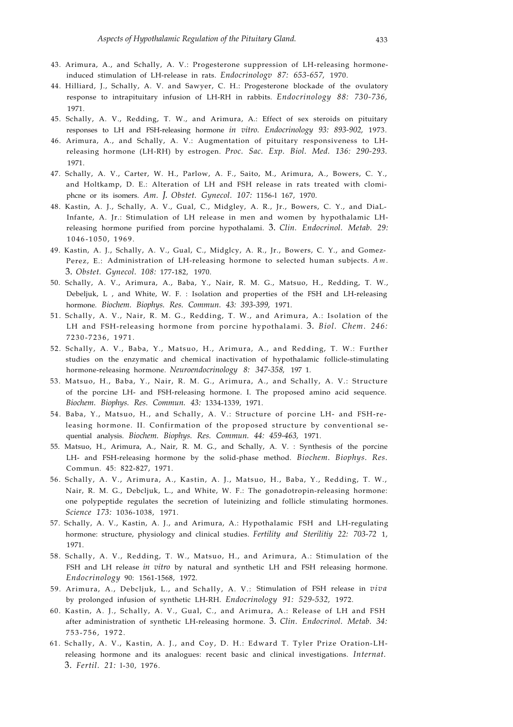- 43. Arimura, A., and Schally, A. V.: Progesterone suppression of LH-releasing hormoneinduced stimulation of LH-release in rats. *Endocrinologv 87: 653-657,* 1970.
- 44. Hilliard, J., Schally, A. V. and Sawyer, C. H.: Progesterone blockade of the ovulatory response to intrapituitary infusion of LH-RH in rabbits. *Endocrinology 88: 730-736,* 1971.
- 45. Schally, A. V., Redding, T. W., and Arimura, A.: Effect of sex steroids on pituitary responses to LH and FSH-releasing hormone *in vitro. Endocrinology 93: 893-902,* 1973.
- 46. Arimura, A., and Schally, A. V.: Augmentation of pituitary responsiveness to LHreleasing hormone (LH-RH) by estrogen. *Proc. Sac. Exp. Biol. Med. 136: 290-293.* 1971.
- 47. Schally, A. V., Carter, W. H., Parlow, A. F., Saito, M., Arimura, A., Bowers, C. Y., and Holtkamp, D. E.: Alteration of LH and FSH release in rats treated with clomiphcne or its isomers. *Am. J. Obstet. Gynecol. 107:* 1156-l 167, 1970.
- 48. Kastin, A. J., Schally, A. V., Gual, C., Midgley, A. R., Jr., Bowers, C. Y., and DiaL-Infante, A. Jr.: Stimulation of LH release in men and women by hypothalamic LHreleasing hormone purified from porcine hypothalami. 3. *Clin. Endocrinol. Metab. 29:* 10 4 6 - 10 50, 19 69.
- 49. Kastin, A. J., Schally, A. V., Gual, C., Midglcy, A. R., Jr., Bowers, C. Y., and Gomez-Perez, E.: Administration of LH-releasing hormone to selected human subjects. *A m .* 3. *Obstet. Gynecol. 108:* 177-182, 1970.
- 50. Schally, A. V., Arimura, A., Baba, Y., Nair, R. M. G., Matsuo, H., Redding, T. W., Debeljuk, L , and White, W. F. : Isolation and properties of the FSH and LH-releasing hormone. *Biochem. Biophys. Res. Commun. 43: 393-399,* 1971.
- 51. Schally, A. V., Nair, R. M. G., Redding, T. W., and Arimura, A.: Isolation of the LH and FSH-releasing hormone from porcine hypothalami. 3. *Biol. Chem. 246:* 7 2 3 0 - 7 2 3 6 , 1 9 7 1 .
- 52. Schally, A. V., Baba, Y., Matsuo, H., Arimura, A., and Redding, T. W.: Further studies on the enzymatic and chemical inactivation of hypothalamic follicle-stimulating hormone-releasing hormone. *Neuroendocrinology 8: 347-358,* 197 1.
- 53. Matsuo, H., Baba, Y., Nair, R. M. G., Arimura, A., and Schally, A. V.: Structure of the porcine LH- and FSH-releasing hormone. I. The proposed amino acid sequence. *Biochem. Biophys. Res. Commun. 43:* 1334-1339, 1971.
- 54. Baba, Y., Matsuo, H., and Schally, A. V.: Structure of porcine LH- and FSH-releasing hormone. II. Confirmation of the proposed structure by conventional sequential analysis. *Biochem. Biophys. Res. Commun. 44: 459-463,* 1971.
- 55. Matsuo, H., Arimura, A., Nair, R. M. G., and Schally, A. V. : Synthesis of the porcine LH- and FSH-releasing hormone by the solid-phase method. *Biochem. Biophys. Res.* Commun. 45: 822-827, 1971.
- 56. Schally, A. V., Arimura, A., Kastin, A. J., Matsuo, H., Baba, Y., Redding, T. W., Nair, R. M. G., Debcljuk, L., and White, W. F.: The gonadotropin-releasing hormone: one polypeptide regulates the secretion of luteinizing and follicle stimulating hormones. *Science 173:* 1036-1038, 1971.
- 57. Schally, A. V., Kastin, A. J., and Arimura, A.: Hypothalamic FSH and LH-regulating hormone: structure, physiology and clinical studies. *Fertility and Sterilitiy 22: 703-72* 1, 1971.
- 58. Schally, A. V., Redding, T. W., Matsuo, H., and Arimura, A.: Stimulation of the FSH and LH release *in vitro* by natural and synthetic LH and FSH releasing hormone. *Endocrinology* 90: 1561-1568, 1972.
- 59. Arimura, A., Debcljuk, L., and Schally, A. V.: Stimulation of FSH release in *viva* by prolonged infusion of synthetic LH-RH. *Endocrinology 91: 529-532,* 1972.
- 60. Kastin, A. J., Schally, A. V., Gual, C., and Arimura, A.: Release of LH and FSH after administration of synthetic LH-releasing hormone. 3. *Clin. Endocrinol. Metab. 34:* 7 5 3 - 7 5 6 , 1 9 7 2 .
- 61. Schally, A. V., Kastin, A. J., and Coy, D. H.: Edward T. Tyler Prize Oration-LHreleasing hormone and its analogues: recent basic and clinical investigations. *Internat.* 3. *Fertil. 21:* l-30, 1976.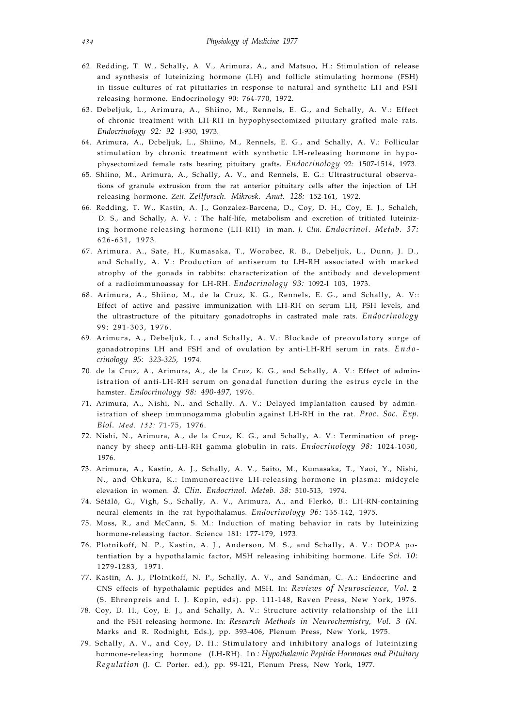- 62. Redding, T. W., Schally, A. V., Arimura, A., and Matsuo, H.: Stimulation of release and synthesis of luteinizing hormone (LH) and follicle stimulating hormone (FSH) in tissue cultures of rat pituitaries in response to natural and synthetic LH and FSH releasing hormone. Endocrinology 90: 764-770, 1972.
- 63. Debeljuk, L., Arimura, A., Shiino, M., Rennels, E. G., and Schally, A. V.: Effect of chronic treatment with LH-RH in hypophysectomized pituitary grafted male rats. *Endocrinology 92: 92* l-930, 1973.
- 64. Arimura, A., Dcbeljuk, L., Shiino, M., Rennels, E. G., and Schally, A. V.: Follicular stimulation by chronic treatment with synthetic LH-releasing hormone in hypophysectomized female rats bearing pituitary grafts. *Endocrinology* 92: 1507-1514, 1973.
- 65. Shiino, M., Arimura, A., Schally, A. V., and Rennels, E. G.: Ultrastructural observations of granule extrusion from the rat anterior pituitary cells after the injection of LH releasing hormone. *Zeit. Zellforsch. Mikrosk. Anat. 128:* 152-161, 1972.
- 66. Redding, T. W., Kastin, A. J., Gonzalez-Barcena, D., Coy, D. H., Coy, E. J., Schalch, D. S., and Schally, A. V. : The half-life, metabolism and excretion of tritiated luteinizing hormone-releasing hormone (LH-RH) in man. *J. Clin. Endocrinol. Metab. 37:* 6 2 6 - 6 3 1, 19 7 3.
- 67. Arimura. A., Sate, H., Kumasaka, T., Worobec, R. B., Debeljuk, L., Dunn, J. D., and Schally, A. V.: Production of antiserum to LH-RH associated with marked atrophy of the gonads in rabbits: characterization of the antibody and development of a radioimmunoassay for LH-RH. *Endocrinology 93:* 1092-l 103, 1973.
- 68. Arimura, A., Shiino, M., de la Cruz, K. G., Rennels, E. G., and Schally, A. V:: Effect of active and passive immunization with LH-RH on serum LH, FSH levels, and the ultrastructure of the pituitary gonadotrophs in castrated male rats. *Endocrinology* 99: 291-303, 1976.
- 69. Arimura, A., Debeljuk, I.., and Schally, A. V.: Blockade of preovulatory surge of gonadotropins LH and FSH and of ovulation by anti-LH-RH serum in rats. *E n d o crinology 95: 323-325,* 1974.
- 70. de la Cruz, A., Arimura, A., de la Cruz, K. G., and Schally, A. V.: Effect of administration of anti-LH-RH serum on gonadal function during the estrus cycle in the hamster. *Endocrinology 98: 490-497,* 1976.
- 71. Arimura, A., Nishi, N., and Schally. A. V.: Delayed implantation caused by administration of sheep immunogamma globulin against LH-RH in the rat. *Proc. Soc. Exp. Biol. Med. 152:* 71-75, 1976.
- 72. Nishi, N., Arimura, A., de la Cruz, K. G., and Schally, A. V.: Termination of pregnancy by sheep anti-LH-RH gamma globulin in rats. *Endocrinology 98:* 1024-1030, 1976.
- 73. Arimura, A., Kastin, A. J., Schally, A. V., Saito, M., Kumasaka, T., Yaoi, Y., Nishi, N., and Ohkura, K.: Immunoreactive LH-releasing hormone in plasma: midcycle elevation in women. *3. Clin. Endocrinol. Metab. 38:* 510-513, 1974.
- 74. Sétáló, G., Vigh, S., Schally, A. V., Arimura, A., and Flerkó, B.: LH-RN-containing neural elements in the rat hypothalamus. *Endocrinology 96:* 135-142, 1975.
- 75. Moss, R., and McCann, S. M.: Induction of mating behavior in rats by luteinizing hormone-releasing factor. Science 181: 177-179, 1973.
- 76. Plotnikoff, N. P., Kastin, A. J., Anderson, M. S., and Schally, A. V.: DOPA potentiation by a hypothalamic factor, MSH releasing inhibiting hormone. Life *Sci. 10:* 1279-1283, 1971.
- 77. Kastin, A. J., Plotnikoff, N. P., Schally, A. V., and Sandman, C. A.: Endocrine and CNS effects of hypothalamic peptides and MSH. In: *Reviews of Neuroscience, Vol.* **2** (S. Ehrenpreis and I. J. Kopin, eds). pp. 111-148, Raven Press, New York, 1976.
- 78. Coy, D. H., Coy, E. J., and Schally, A. V.: Structure activity relationship of the LH and the FSH releasing hormone. In: *Research Methods in Neurochemistry, Vol. 3 (N.* Marks and R. Rodnight, Eds.), pp. 393-406, Plenum Press, New York, 1975.
- 79. Schally, A. V., and Coy, D. H.: Stimulatory and inhibitory analogs of luteinizing hormone-releasing hormone (LH-RH). I n *: Hypothalamic Peptide Hormones and Pituitary Regulation* (J. C. Porter. ed.), pp. 99-121, Plenum Press, New York, 1977.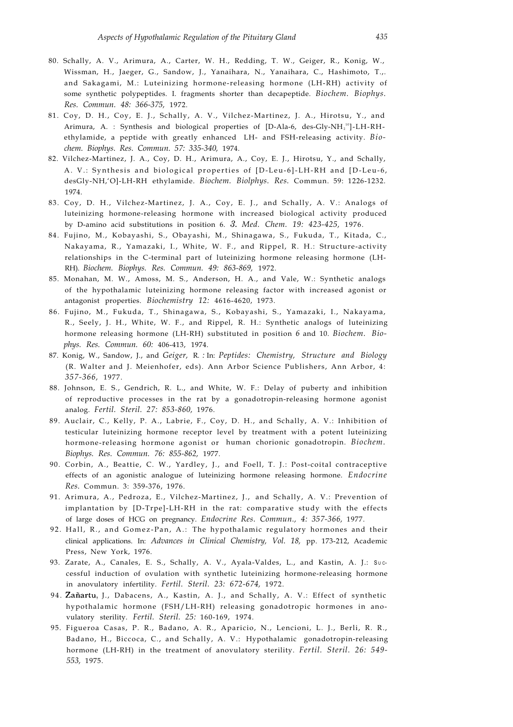- 80. Schally, A. V., Arimura, A., Carter, W. H., Redding, T. W., Geiger, R., Konig, W., Wissman, H., Jaeger, G., Sandow, J., Yanaihara, N., Yanaihara, C., Hashimoto, T.,. and Sakagami, M.: Luteinizing hormone-releasing hormone (LH-RH) activity of some synthetic polypeptides. I. fragments shorter than decapeptide. *Biochem. Biophys. Res. Commun. 48: 366-375,* 1972.
- 81. Coy, D. H., Coy, E. J., Schally, A. V., Vilchez-Martinez, J. A., Hirotsu, Y., and Arimura, A. : Synthesis and biological properties of [D-Ala-6, des-Gly-NH<sub>2</sub><sup>10</sup>]-LH-RHethylamide, a peptide with greatly enhanced LH- and FSH-releasing activity. *Biochem. Biophys. Res. Commun. 57: 335-340,* 1974.
- 82. Vilchez-Martinez, J. A., Coy, D. H., Arimura, A., Coy, E. J., Hirotsu, Y., and Schally, A. V.: Synthesis and biological properties of [D-Leu-6]-LH-RH and [D-Leu-6, desGly-NH,'O]-LH-RH ethylamide. *Biochem. Biolphys. Res.* Commun. 59: 1226-1232. 1974.
- 83. Coy, D. H., Vilchez-Martinez, J. A., Coy, E. J., and Schally, A. V.: Analogs of luteinizing hormone-releasing hormone with increased biological activity produced by D-amino acid substitutions in position 6. *3. Med. Chem. 19: 423-425,* 1976.
- 84. Fujino, M., Kobayashi, S., Obayashi, M., Shinagawa, S., Fukuda, T., Kitada, C., Nakayama, R., Yamazaki, I., White, W. F., and Rippel, R. H.: Structure-activity relationships in the C-terminal part of luteinizing hormone releasing hormone (LH-RH). *Biochem. Biophys. Res. Commun. 49: 863-869,* 1972.
- 85. Monahan, M. W., Amoss, M. S., Anderson, H. A., and Vale, W.: Synthetic analogs of the hypothalamic luteinizing hormone releasing factor with increased agonist or antagonist properties. *Biochemistry 12:* 4616-4620, 1973.
- 86. Fujino, M., Fukuda, T., Shinagawa, S., Kobayashi, S., Yamazaki, I., Nakayama, R., Seely, J. H., White, W. F., and Rippel, R. H.: Synthetic analogs of luteinizing hormone releasing hormone (LH-RH) substituted in position *6* and 10. *Biochem. Biophys. Res. Commun. 60:* 406-413, 1974.
- 87. Konig, W., Sandow, J., and *Geiger,* R. *:* In: *Peptides: Chemistry, Structure and Biology* (R. Walter and J. Meienhofer, eds). Ann Arbor Science Publishers, Ann Arbor, 4: *357-366,* 1977.
- 88. Johnson, E. S., Gendrich, R. L., and White, W. F.: Delay of puberty and inhibition of reproductive processes in the rat by a gonadotropin-releasing hormone agonist analog. *Fertil. Steril. 27: 853-860,* 1976.
- 89. Auclair, C., Kelly, P. A., Labrie, F., Coy, D. H., and Schally, A. V.: Inhibition of testicular luteinizing hormone receptor level by treatment with a potent luteinizing hormone-releasing hormone agonist or human chorionic gonadotropin. *Biochem. Biophys. Res. Commun. 76: 855-862,* 1977.
- 90. Corbin, A., Beattie, C. W., Yardley, J., and Foell, T. J.: Post-coital contraceptive effects of an agonistic analogue of luteinizing hormone releasing hormone. *Endocrine Res.* Commun. 3: 359-376, 1976.
- 91. Arimura, A., Pedroza, E., Vilchez-Martinez, J., and Schally, A. V.: Prevention of implantation by [D-Trpe]-LH-RH in the rat: comparative study with the effects of large doses of HCG on pregnancy. *Endocrine Res. Commun., 4: 357-366,* 1977.
- 92. Hall, R., and Gomez-Pan, A.: The hypothalamic regulatory hormones and their clinical applications. In: *Advances in Clinical Chemistry, Vol. 18,* pp. 173-212, Academic Press, New York, 1976.
- 93. Zarate, A., Canales, E. S., Schally, A. V., Ayala-Valdes, L., and Kastin, A. J.: Successful induction of ovulation with synthetic luteinizing hormone-releasing hormone in anovulatory infertility. *Fertil. Steril. 23: 672-674,* 1972.
- 94. Zañartu, J., Dabacens, A., Kastin, A. J., and Schally, A. V.: Effect of synthetic hypothalamic hormone (FSH/LH-RH) releasing gonadotropic hormones in anovulatory sterility. *Fertil. Steril. 25:* 160-169, 1974.
- 95. Figueroa Casas, P. R., Badano, A. R., Aparicio, N., Lencioni, L. J., Berli, R. R., Badano, H., Biccoca, C., and Schally, A. V.: Hypothalamic gonadotropin-releasing hormone (LH-RH) in the treatment of anovulatory sterility. *Fertil. Steril. 26: 549- 553,* 1975.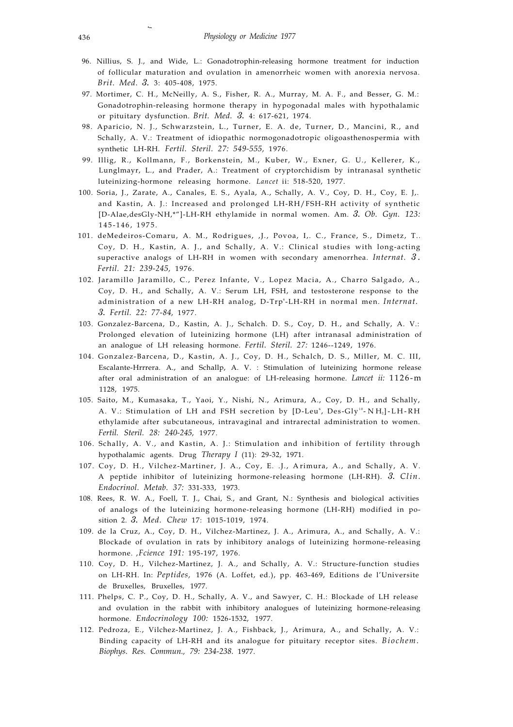- 96. Nillius, S. J., and Wide, L.: Gonadotrophin-releasing hormone treatment for induction of follicular maturation and ovulation in amenorrheic women with anorexia nervosa. *Brit. Med. 3.* 3: 405-408, 1975.
- 97. Mortimer, C. H., McNeilly, A. S., Fisher, R. A., Murray, M. A. F., and Besser, G. M.: Gonadotrophin-releasing hormone therapy in hypogonadal males with hypothalamic or pituitary dysfunction. *Brit. Med. 3.* 4: 617-621, 1974.
- 98. Aparicio, N. J., Schwarzstein, L., Turner, E. A. de, Turner, D., Mancini, R., and Schally, A. V.: Treatment of idiopathic normogonadotropic oligoasthenospermia with synthetic LH-RH. *Fertil. Steril. 27: 549-555,* 1976.
- 99. Illig, R., Kollmann, F., Borkenstein, M., Kuber, W., Exner, G. U., Kellerer, K., Lunglmayr, L., and Prader, A.: Treatment of cryptorchidism by intranasal synthetic luteinizing-hormone releasing hormone. *Lancet* ii: 518-520, 1977.
- 100. Soria, J., Zarate, A., Canales, E. S., Ayala, A., Schally, A. V., Coy, D. H., Coy, E. J,. and Kastin, A. J.: Increased and prolonged LH-RH/FSH-RH activity of synthetic [D-Alae,desGly-NH,\*"]-LH-RH ethylamide in normal women. Am. *3. Ob. Gyn. 123:* 145-146, 1975.
- 101. deMedeiros-Comaru, A. M., Rodrigues, ,J., Povoa, I,. C., France, S., Dimetz, T.. Coy, D. H., Kastin, A. J., and Schally, A. V.: Clinical studies with long-acting superactive analogs of LH-RH in women with secondary amenorrhea. *Internat. 3 . Fertil. 21: 239-245,* 1976.
- 102. Jaramillo Jaramillo, C., Perez Infante, V., Lopez Macia, A., Charro Salgado, A., Coy, D. H., and Schally, A. V.: Serum LH, FSH, and testosterone response to the administration of a new LH-RH analog, D-Trp°-LH-RH in normal men. *Internat. 3. Fertil. 22: 77-84,* 1977.
- 103. Gonzalez-Barcena, D., Kastin, A. J., Schalch. D. S., Coy, D. H., and Schally, A. V.: Prolonged elevation of luteinizing hormone (LH) after intranasal administration of an analogue of LH releasing hormone. *Fertil. Steril. 27:* 1246--1249, 1976.
- 104. Gonzalez-Barcena, D., Kastin, A. J., Coy, D. H., Schalch, D. S., Miller, M. C. III, Escalante-Hrrrera. A., and Schallp, A. V. : Stimulation of luteinizing hormone release after oral administration of an analogue: of LH-releasing hormone. *Lancet ii:* 1126-m 1128, 1975.
- 105. Saito, M., Kumasaka, T., Yaoi, Y., Nishi, N., Arimura, A., Coy, D. H., and Schally, A. V.: Stimulation of LH and FSH secretion by [D-Leu $^{\circ}$ , Des-Gly $^{\text{10}}$ -NH $_{2}$ ]-LH-RH ethylamide after subcutaneous, intravaginal and intrarectal administration to women. *Fertil. Steril. 28: 240-245,* 1977.
- 106. Schally, A. V., and Kastin, A. J.: Stimulation and inhibition of fertility through hypothalamic agents. Drug *Therapy I* (11): 29-32, 1971.
- 107. Coy, D. H., Vilchez-Martiner, J. A., Coy, E. .J., A rimura, A., and Schally, A. V. A peptide inhibitor of luteinizing hormone-releasing hormone (LH-RH). *3. Clin. Endocrinol. Metab. 37:* 331-333, 1973.
- 108. Rees, R. W. A., Foell, T. J., Chai, S., and Grant, N.: Synthesis and biological activities of analogs of the luteinizing hormone-releasing hormone (LH-RH) modified in position 2. *3. Med. Chew* 17: 1015-1019, 1974.
- 109. de la Cruz, A., Coy, D. H., Vilchez-Martinez, J. A., Arimura, A., and Schally, A. V.: Blockade of ovulation in rats by inhibitory analogs of luteinizing hormone-releasing hormone. *,Fcience 191:* 195-197, 1976.
- 110. Coy, D. H., Vilchez-Martinez, J. A., and Schally, A. V.: Structure-function studies on LH-RH. In: *Peptides,* 1976 (A. Loffet, ed.), pp. 463-469, Editions de l'Universite de Bruxelles, Bruxelles, 1977.
- 111. Phelps, C. P., Coy, D. H., Schally, A. V., and Sawyer, C. H.: Blockade of LH release and ovulation in the rabbit with inhibitory analogues of luteinizing hormone-releasing hormone. *Endocrinology 100:* 1526-1532, 1977.
- 112. Pedroza, E., Vilchez-Martinez, J. A., Fishback, J., Arimura, A., and Schally, A. V.: Binding capacity of LH-RH and its analogue for pituitary receptor sites. *Biochem. Biophys. Res. Commun., 79: 234-238.* 1977.

÷,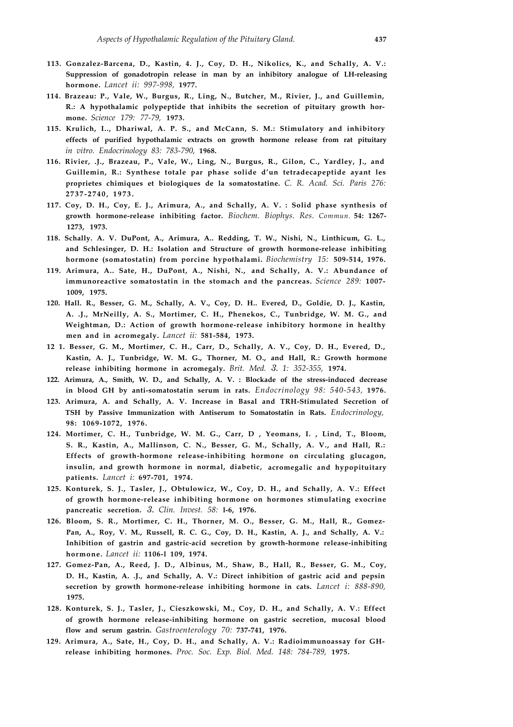- **113. Gonzalez-Barcena, D., Kastin, 4. J., Coy, D. H., Nikolics, K., and Schally, A. V.: Suppression of gonadotropin release in man by an inhibitory analogue of LH-releasing hormone.** *Lancet ii: 997-998,* **1977.**
- **114. Brazeau: P., Vale, W., Burgus, R., Ling, N., Butcher, M., Rivier, J., and Guillemin, R.: A hypothalamic polypeptide that inhibits the secretion of pituitary growth hormone.** *Science 179: 77-79,* **1973.**
- **115. Krulich, I.., Dhariwal, A. P. S., and McCann, S. M.: Stimulatory and inhibitory effects of purified hypothalamic extracts on growth hormone release from rat pituitary** *in vitro. Endocrinology 83: 783-790,* **1968.**
- **116. Rivier, .J., Brazeau, P., Vale, W., Ling, N., Burgus, R., Gilon, C., Yardley, J., and Guillemin, R.: Synthese totale par phase solide d'un tetradecapeptide ayant les proprietes chimiques et biologiques de la somatostatine.** *C. R. Acad. Sci. Paris 276:* **2 7 3 7 - 2 7 4 0 , 1 9 7 3 .**
- **117. Coy, D. H., Coy, E. J., Arimura, A., and Schally, A. V. : Solid phase synthesis of growth hormone-release inhibiting factor.** *Biochem. Biophys. Res. Commun.* **54: 1267- 1273, 1973.**
- **118. Schally. A. V. DuPont, A., Arimura, A.. Redding, T. W., Nishi, N., Linthicum, G. L., and Schlesinger, D. H.: Isolation and Structure of growth hormone-release inhibiting hormone (somatostatin) from porcine hypothalami.** *Biochemistry 15:* **509-514, 1976.**
- **119. Arimura, A.. Sate, H., DuPont, A., Nishi, N., and Schally, A. V.: Abundance of immunoreactive somatostatin in the stomach and the pancreas.** *Science 289:* **1007- 1009, 1975.**
- **120. Hall. R., Besser, G. M., Schally, A. V., Coy, D. H.. Evered, D., Goldie, D. J., Kastin, A. .J., MrNeilly, A. S., Mortimer, C. H., Phenekos, C., Tunbridge, W. M. G., and Weightman, D.: Action of growth hormone-release inhibitory hormone in healthy men and in acromegaly.** *Lancet ii:* **581-584, 1973.**
- **12 1. Besser, G. M., Mortimer, C. H., Carr, D., Schally, A. V., Coy, D. H., Evered, D., Kastin, A. J., Tunbridge, W. M. G., Thorner, M. O., and Hall, R.: Growth hormone release inhibiting hormone in acromegaly.** *Brit. Med. 3. 1: 352-355,* **1974.**
- **122. Arimura, A., Smith, W. D., and Schally, A. V. : Blockade of the stress-induced decrease in blood GH by anti-somatostatin serum in rats.** *Endocrinology 98: 540-543,* **1976.**
- **123. Arimura, A. and Schally, A. V. Increase in Basal and TRH-Stimulated Secretion of TSH by Passive Immunization with Antiserum to Somatostatin in Rats.** *Endocrinology,* **98: 1069-1072, 1976.**
- **124. Mortimer, C. H., Tunbridge, W. M. G., Carr, D , Yeomans, I. , Lind, T., Bloom, S. R., Kastin, A., Mallinson, C. N., Besser, G. M., Schally, A. V., and Hall, R.: Effects of growth-hormone release-inhibiting hormone on circulating glucagon, insulin, and growth hormone in normal, diabetic, acromegalic and hypopituitary patients.** *Lancet i:* **697-701, 1974.**
- **125. Konturek, S. J., Tasler, J., Obtulowicz, W., Coy, D. H., and Schally, A. V.: Effect of growth hormone-release inhibiting hormone on hormones stimulating exocrine pancreatic secretion.** *3. Clin. Invest. 58:* **l-6, 1976.**
- **126. Bloom, S. R., Mortimer, C. H., Thorner, M. O., Besser, G. M., Hall, R., Gomez-Pan, A., Roy, V. M., Russell, R. C. G., Coy, D. H., Kastin, A. J., and Schally, A. V.: Inhibition of gastrin and gastric-acid secretion by growth-hormone release-inhibiting hormone.** *Lancet ii:* **1106-l 109, 1974.**
- **127. Gomez-Pan, A., Reed, J. D., Albinus, M., Shaw, B., Hall, R., Besser, G. M., Coy, D. H., Kastin, A. .J., and Schally, A. V.: Direct inhibition of gastric acid and pepsin secretion by growth hormone-release inhibiting hormone in cats.** *Lancet i: 888-890,* **1975.**
- **128. Konturek, S. J., Tasler, J., Cieszkowski, M., Coy, D. H., and Schally, A. V.: Effect of growth hormone release-inhibiting hormone on gastric secretion, mucosal blood flow and serum gastrin.** *Gastroenterology 70:* **737-741, 1976.**
- **129. Arimura, A., Sate, H., Coy, D. H., and Schally, A. V.: Radioimmunoassay for GHrelease inhibiting hormones.** *Proc. Soc. Exp. Biol. Med. 148: 784-789,* **1975.**